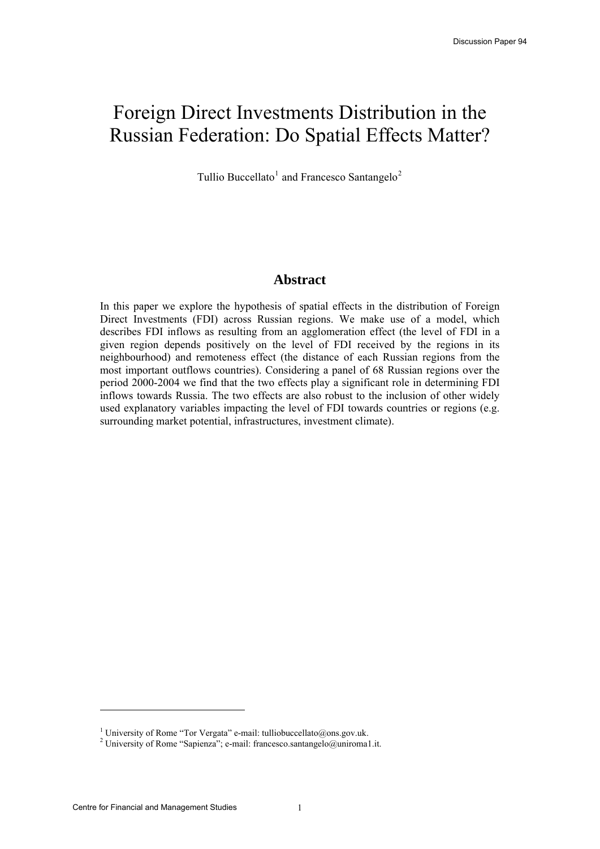# Foreign Direct Investments Distribution in the Russian Federation: Do Spatial Effects Matter?

Tullio Buccellato<sup>[1](#page-0-0)</sup> and Francesco Santangelo<sup>[2](#page-0-1)</sup>

### **Abstract**

In this paper we explore the hypothesis of spatial effects in the distribution of Foreign Direct Investments (FDI) across Russian regions. We make use of a model, which describes FDI inflows as resulting from an agglomeration effect (the level of FDI in a given region depends positively on the level of FDI received by the regions in its neighbourhood) and remoteness effect (the distance of each Russian regions from the most important outflows countries). Considering a panel of 68 Russian regions over the period 2000-2004 we find that the two effects play a significant role in determining FDI inflows towards Russia. The two effects are also robust to the inclusion of other widely used explanatory variables impacting the level of FDI towards countries or regions (e.g. surrounding market potential, infrastructures, investment climate).

 $\overline{a}$ 

<span id="page-0-0"></span><sup>&</sup>lt;sup>1</sup> University of Rome "Tor Vergata" e-mail: tulliobuccellato@ons.gov.uk.<br><sup>2</sup> University of Rome "Senionza": e-mail: francesco sentangele@uniromal

<span id="page-0-1"></span><sup>&</sup>lt;sup>2</sup> University of Rome "Sapienza"; e-mail: francesco.santangelo@uniroma1.it.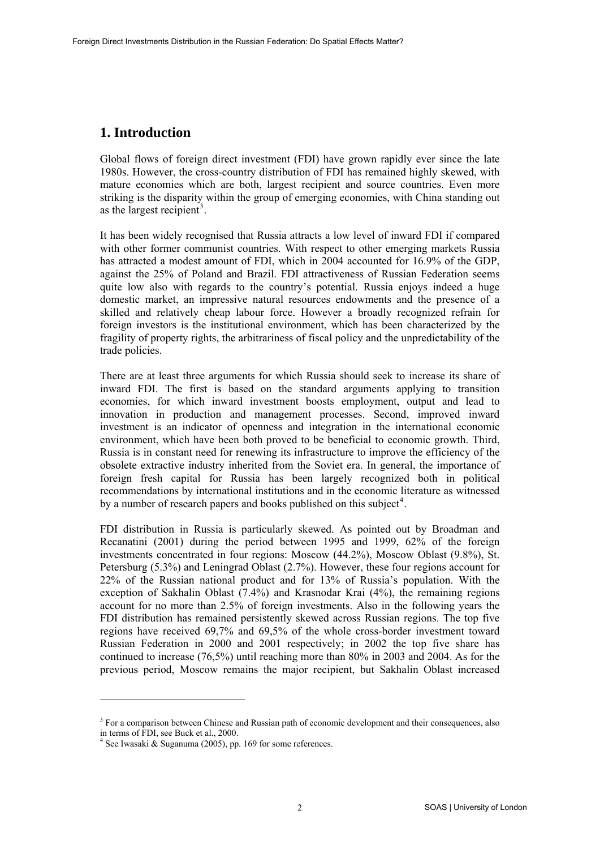# **1. Introduction**

Global flows of foreign direct investment (FDI) have grown rapidly ever since the late 1980s. However, the cross-country distribution of FDI has remained highly skewed, with mature economies which are both, largest recipient and source countries. Even more striking is the disparity within the group of emerging economies, with China standing out as the largest recipient<sup>[3](#page-1-0)</sup>.

It has been widely recognised that Russia attracts a low level of inward FDI if compared with other former communist countries. With respect to other emerging markets Russia has attracted a modest amount of FDI, which in 2004 accounted for 16.9% of the GDP. against the 25% of Poland and Brazil. FDI attractiveness of Russian Federation seems quite low also with regards to the country's potential. Russia enjoys indeed a huge domestic market, an impressive natural resources endowments and the presence of a skilled and relatively cheap labour force. However a broadly recognized refrain for foreign investors is the institutional environment, which has been characterized by the fragility of property rights, the arbitrariness of fiscal policy and the unpredictability of the trade policies.

There are at least three arguments for which Russia should seek to increase its share of inward FDI. The first is based on the standard arguments applying to transition economies, for which inward investment boosts employment, output and lead to innovation in production and management processes. Second, improved inward investment is an indicator of openness and integration in the international economic environment, which have been both proved to be beneficial to economic growth. Third, Russia is in constant need for renewing its infrastructure to improve the efficiency of the obsolete extractive industry inherited from the Soviet era. In general, the importance of foreign fresh capital for Russia has been largely recognized both in political recommendations by international institutions and in the economic literature as witnessed by a number of research papers and books published on this subject<sup>[4](#page-1-1)</sup>.

FDI distribution in Russia is particularly skewed. As pointed out by Broadman and Recanatini (2001) during the period between 1995 and 1999, 62% of the foreign investments concentrated in four regions: Moscow (44.2%), Moscow Oblast (9.8%), St. Petersburg (5.3%) and Leningrad Oblast (2.7%). However, these four regions account for 22% of the Russian national product and for 13% of Russia's population. With the exception of Sakhalin Oblast (7.4%) and Krasnodar Krai (4%), the remaining regions account for no more than 2.5% of foreign investments. Also in the following years the FDI distribution has remained persistently skewed across Russian regions. The top five regions have received 69,7% and 69,5% of the whole cross-border investment toward Russian Federation in 2000 and 2001 respectively; in 2002 the top five share has continued to increase (76,5%) until reaching more than 80% in 2003 and 2004. As for the previous period, Moscow remains the major recipient, but Sakhalin Oblast increased

l

<sup>&</sup>lt;sup>3</sup> For a comparison between Chinese and Russian path of economic development and their consequences, also in terms of FDI, see Buck et al., 2000.

<span id="page-1-1"></span><span id="page-1-0"></span> $4$  See Iwasaki & Suganuma (2005), pp. 169 for some references.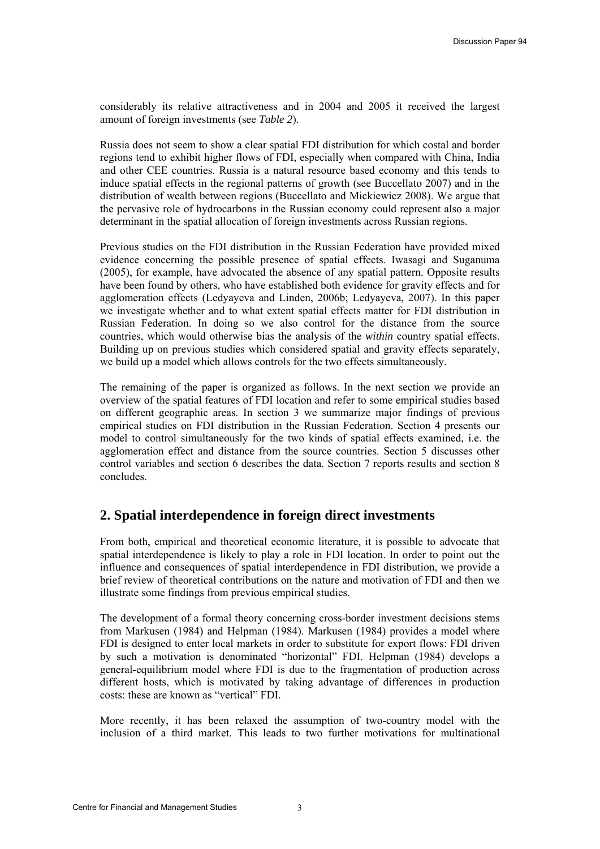considerably its relative attractiveness and in 2004 and 2005 it received the largest amount of foreign investments (see *Table 2*).

Russia does not seem to show a clear spatial FDI distribution for which costal and border regions tend to exhibit higher flows of FDI, especially when compared with China, India and other CEE countries. Russia is a natural resource based economy and this tends to induce spatial effects in the regional patterns of growth (see Buccellato 2007) and in the distribution of wealth between regions (Buccellato and Mickiewicz 2008). We argue that the pervasive role of hydrocarbons in the Russian economy could represent also a major determinant in the spatial allocation of foreign investments across Russian regions.

Previous studies on the FDI distribution in the Russian Federation have provided mixed evidence concerning the possible presence of spatial effects. Iwasagi and Suganuma (2005), for example, have advocated the absence of any spatial pattern. Opposite results have been found by others, who have established both evidence for gravity effects and for agglomeration effects (Ledyayeva and Linden, 2006b; Ledyayeva, 2007). In this paper we investigate whether and to what extent spatial effects matter for FDI distribution in Russian Federation. In doing so we also control for the distance from the source countries, which would otherwise bias the analysis of the *within* country spatial effects. Building up on previous studies which considered spatial and gravity effects separately, we build up a model which allows controls for the two effects simultaneously.

The remaining of the paper is organized as follows. In the next section we provide an overview of the spatial features of FDI location and refer to some empirical studies based on different geographic areas. In section 3 we summarize major findings of previous empirical studies on FDI distribution in the Russian Federation. Section 4 presents our model to control simultaneously for the two kinds of spatial effects examined, i.e. the agglomeration effect and distance from the source countries. Section 5 discusses other control variables and section 6 describes the data. Section 7 reports results and section 8 concludes.

# **2. Spatial interdependence in foreign direct investments**

From both, empirical and theoretical economic literature, it is possible to advocate that spatial interdependence is likely to play a role in FDI location. In order to point out the influence and consequences of spatial interdependence in FDI distribution, we provide a brief review of theoretical contributions on the nature and motivation of FDI and then we illustrate some findings from previous empirical studies.

The development of a formal theory concerning cross-border investment decisions stems from Markusen (1984) and Helpman (1984). Markusen (1984) provides a model where FDI is designed to enter local markets in order to substitute for export flows: FDI driven by such a motivation is denominated "horizontal" FDI. Helpman (1984) develops a general-equilibrium model where FDI is due to the fragmentation of production across different hosts, which is motivated by taking advantage of differences in production costs: these are known as "vertical" FDI.

More recently, it has been relaxed the assumption of two-country model with the inclusion of a third market. This leads to two further motivations for multinational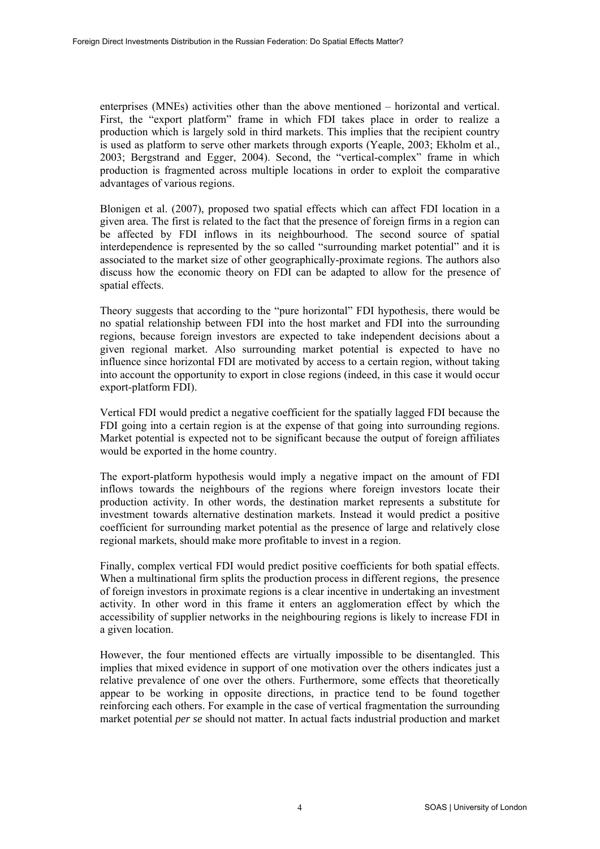enterprises (MNEs) activities other than the above mentioned – horizontal and vertical. First, the "export platform" frame in which FDI takes place in order to realize a production which is largely sold in third markets. This implies that the recipient country is used as platform to serve other markets through exports (Yeaple, 2003; Ekholm et al., 2003; Bergstrand and Egger, 2004). Second, the "vertical-complex" frame in which production is fragmented across multiple locations in order to exploit the comparative advantages of various regions.

Blonigen et al. (2007), proposed two spatial effects which can affect FDI location in a given area. The first is related to the fact that the presence of foreign firms in a region can be affected by FDI inflows in its neighbourhood. The second source of spatial interdependence is represented by the so called "surrounding market potential" and it is associated to the market size of other geographically-proximate regions. The authors also discuss how the economic theory on FDI can be adapted to allow for the presence of spatial effects.

Theory suggests that according to the "pure horizontal" FDI hypothesis, there would be no spatial relationship between FDI into the host market and FDI into the surrounding regions, because foreign investors are expected to take independent decisions about a given regional market. Also surrounding market potential is expected to have no influence since horizontal FDI are motivated by access to a certain region, without taking into account the opportunity to export in close regions (indeed, in this case it would occur export-platform FDI).

Vertical FDI would predict a negative coefficient for the spatially lagged FDI because the FDI going into a certain region is at the expense of that going into surrounding regions. Market potential is expected not to be significant because the output of foreign affiliates would be exported in the home country.

The export-platform hypothesis would imply a negative impact on the amount of FDI inflows towards the neighbours of the regions where foreign investors locate their production activity. In other words, the destination market represents a substitute for investment towards alternative destination markets. Instead it would predict a positive coefficient for surrounding market potential as the presence of large and relatively close regional markets, should make more profitable to invest in a region.

Finally, complex vertical FDI would predict positive coefficients for both spatial effects. When a multinational firm splits the production process in different regions, the presence of foreign investors in proximate regions is a clear incentive in undertaking an investment activity. In other word in this frame it enters an agglomeration effect by which the accessibility of supplier networks in the neighbouring regions is likely to increase FDI in a given location.

However, the four mentioned effects are virtually impossible to be disentangled. This implies that mixed evidence in support of one motivation over the others indicates just a relative prevalence of one over the others. Furthermore, some effects that theoretically appear to be working in opposite directions, in practice tend to be found together reinforcing each others. For example in the case of vertical fragmentation the surrounding market potential *per se* should not matter. In actual facts industrial production and market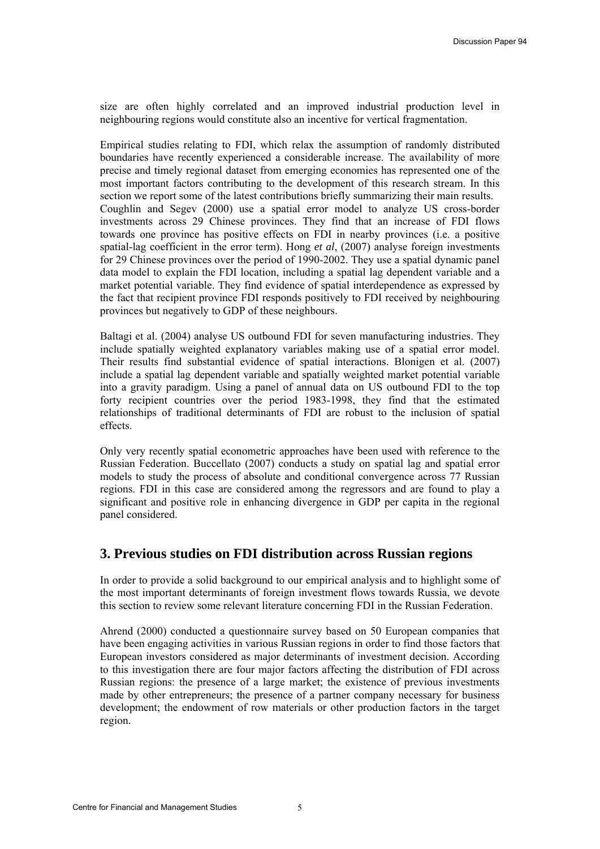size are often highly correlated and an improved industrial production level in neighbouring regions would constitute also an incentive for vertical fragmentation.

Empirical studies relating to FDI, which relax the assumption of randomly distributed boundaries have recently experienced a considerable increase. The availability of more precise and timely regional dataset from emerging economies has represented one of the most important factors contributing to the development of this research stream. In this section we report some of the latest contributions briefly summarizing their main results. Coughlin and Segev (2000) use a spatial error model to analyze US cross-border investments across 29 Chinese provinces. They find that an increase of FDI flows towards one province has positive effects on FDI in nearby provinces (i.e. a positive spatial-lag coefficient in the error term). Hong *et al*, (2007) analyse foreign investments for 29 Chinese provinces over the period of 1990-2002. They use a spatial dynamic panel data model to explain the FDI location, including a spatial lag dependent variable and a market potential variable. They find evidence of spatial interdependence as expressed by the fact that recipient province FDI responds positively to FDI received by neighbouring provinces but negatively to GDP of these neighbours.

Baltagi et al. (2004) analyse US outbound FDI for seven manufacturing industries. They include spatially weighted explanatory variables making use of a spatial error model. Their results find substantial evidence of spatial interactions. Blonigen et al. (2007) include a spatial lag dependent variable and spatially weighted market potential variable into a gravity paradigm. Using a panel of annual data on US outbound FDI to the top forty recipient countries over the period 1983-1998, they find that the estimated relationships of traditional determinants of FDI are robust to the inclusion of spatial effects.

Only very recently spatial econometric approaches have been used with reference to the Russian Federation. Buccellato (2007) conducts a study on spatial lag and spatial error models to study the process of absolute and conditional convergence across 77 Russian regions. FDI in this case are considered among the regressors and are found to play a significant and positive role in enhancing divergence in GDP per capita in the regional panel considered.

### **3. Previous studies on FDI distribution across Russian regions**

In order to provide a solid background to our empirical analysis and to highlight some of the most important determinants of foreign investment flows towards Russia, we devote this section to review some relevant literature concerning FDI in the Russian Federation.

Ahrend (2000) conducted a questionnaire survey based on 50 European companies that have been engaging activities in various Russian regions in order to find those factors that European investors considered as major determinants of investment decision. According to this investigation there are four major factors affecting the distribution of FDI across Russian regions: the presence of a large market; the existence of previous investments made by other entrepreneurs; the presence of a partner company necessary for business development; the endowment of row materials or other production factors in the target region.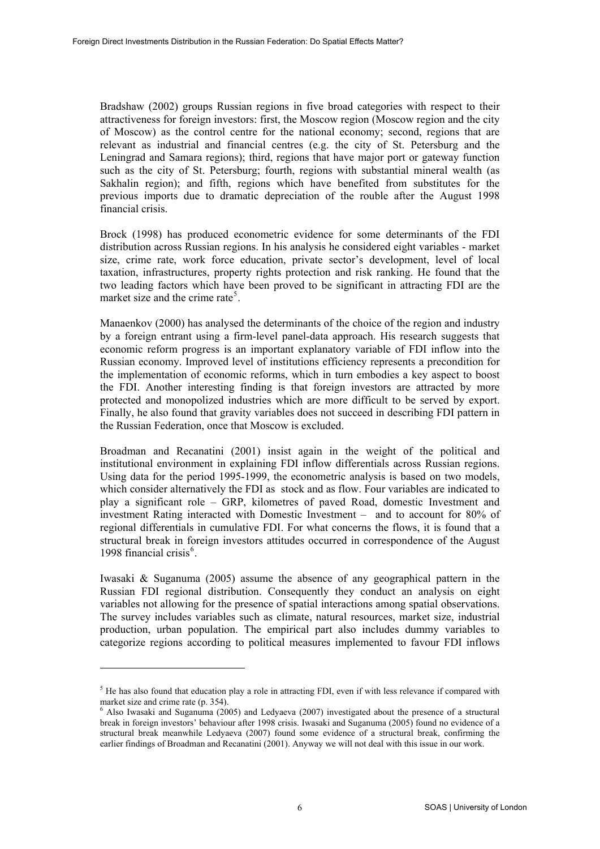<span id="page-5-0"></span>Bradshaw (2002) groups Russian regions in five broad categories with respect to their attractiveness for foreign investors: first, the Moscow region (Moscow region and the city of Moscow) as the control centre for the national economy; second, regions that are relevant as industrial and financial centres (e.g. the city of St. Petersburg and the Leningrad and Samara regions); third, regions that have major port or gateway function such as the city of St. Petersburg; fourth, regions with substantial mineral wealth (as Sakhalin region); and fifth, regions which have benefited from substitutes for the previous imports due to dramatic depreciation of the rouble after the August 1998 financial crisis.

Brock (1998) has produced econometric evidence for some determinants of the FDI distribution across Russian regions. In his analysis he considered eight variables - market size, crime rate, work force education, private sector's development, level of local taxation, infrastructures, property rights protection and risk ranking. He found that the two leading factors which have been proved to be significant in attracting FDI are the market size and the crime rate<sup>[5](#page-5-0)</sup>.

Manaenkov (2000) has analysed the determinants of the choice of the region and industry by a foreign entrant using a firm-level panel-data approach. His research suggests that economic reform progress is an important explanatory variable of FDI inflow into the Russian economy. Improved level of institutions efficiency represents a precondition for the implementation of economic reforms, which in turn embodies a key aspect to boost the FDI. Another interesting finding is that foreign investors are attracted by more protected and monopolized industries which are more difficult to be served by export. Finally, he also found that gravity variables does not succeed in describing FDI pattern in the Russian Federation, once that Moscow is excluded.

Broadman and Recanatini (2001) insist again in the weight of the political and institutional environment in explaining FDI inflow differentials across Russian regions. Using data for the period 1995-1999, the econometric analysis is based on two models, which consider alternatively the FDI as stock and as flow. Four variables are indicated to play a significant role – GRP, kilometres of paved Road, domestic Investment and investment Rating interacted with Domestic Investment – and to account for 80% of regional differentials in cumulative FDI. For what concerns the flows, it is found that a structural break in foreign investors attitudes occurred in correspondence of the August 1998 financial crisis<sup>[6](#page-5-0)</sup>.

Iwasaki & Suganuma (2005) assume the absence of any geographical pattern in the Russian FDI regional distribution. Consequently they conduct an analysis on eight variables not allowing for the presence of spatial interactions among spatial observations. The survey includes variables such as climate, natural resources, market size, industrial production, urban population. The empirical part also includes dummy variables to categorize regions according to political measures implemented to favour FDI inflows

l

 $<sup>5</sup>$  He has also found that education play a role in attracting FDI, even if with less relevance if compared with</sup> market size and crime rate (p. 354).

<sup>&</sup>lt;sup>6</sup> Also Iwasaki and Suganuma (2005) and Ledyaeva (2007) investigated about the presence of a structural break in foreign investors' behaviour after 1998 crisis. Iwasaki and Suganuma (2005) found no evidence of a structural break meanwhile Ledyaeva (2007) found some evidence of a structural break, confirming the earlier findings of Broadman and Recanatini (2001). Anyway we will not deal with this issue in our work.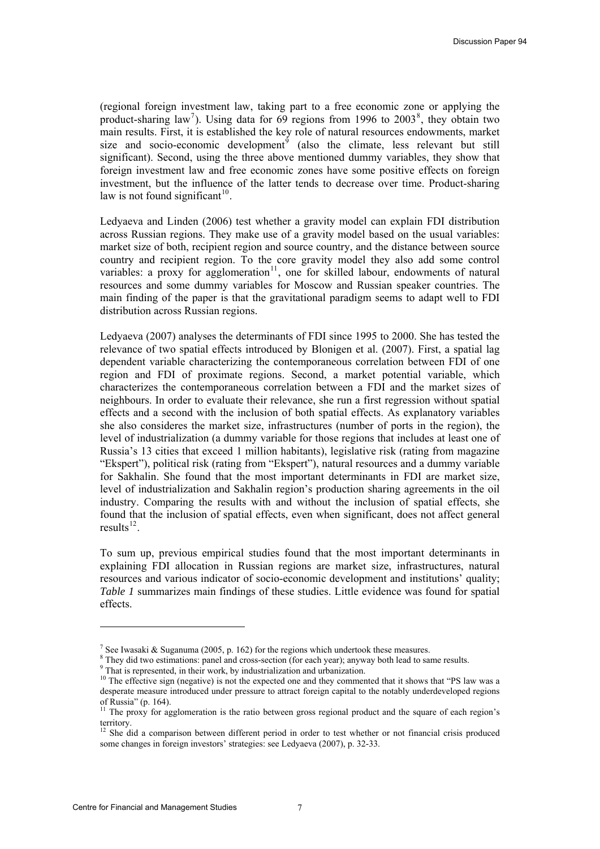<span id="page-6-0"></span>(regional foreign investment law, taking part to a free economic zone or applying the product-sharing law<sup>[7](#page-6-0)</sup>). Using data for  $69$  regions from 1996 to  $2003^8$  $2003^8$ , they obtain two main results. First, it is established the key role of natural resources endowments, market size and socio-economic development<sup> $9$ </sup> (also the climate, less relevant but still significant). Second, using the three above mentioned dummy variables, they show that foreign investment law and free economic zones have some positive effects on foreign investment, but the influence of the latter tends to decrease over time. Product-sharing law is not found significant<sup>[10](#page-6-0)</sup>.

Ledyaeva and Linden (2006) test whether a gravity model can explain FDI distribution across Russian regions. They make use of a gravity model based on the usual variables: market size of both, recipient region and source country, and the distance between source country and recipient region. To the core gravity model they also add some control variables: a proxy for agglomeration $11$ , one for skilled labour, endowments of natural resources and some dummy variables for Moscow and Russian speaker countries. The main finding of the paper is that the gravitational paradigm seems to adapt well to FDI distribution across Russian regions.

Ledyaeva (2007) analyses the determinants of FDI since 1995 to 2000. She has tested the relevance of two spatial effects introduced by Blonigen et al. (2007). First, a spatial lag dependent variable characterizing the contemporaneous correlation between FDI of one region and FDI of proximate regions. Second, a market potential variable, which characterizes the contemporaneous correlation between a FDI and the market sizes of neighbours. In order to evaluate their relevance, she run a first regression without spatial effects and a second with the inclusion of both spatial effects. As explanatory variables she also consideres the market size, infrastructures (number of ports in the region), the level of industrialization (a dummy variable for those regions that includes at least one of Russia's 13 cities that exceed 1 million habitants), legislative risk (rating from magazine "Ekspert"), political risk (rating from "Ekspert"), natural resources and a dummy variable for Sakhalin. She found that the most important determinants in FDI are market size, level of industrialization and Sakhalin region's production sharing agreements in the oil industry. Comparing the results with and without the inclusion of spatial effects, she found that the inclusion of spatial effects, even when significant, does not affect general results $^{12}$  $^{12}$  $^{12}$ .

To sum up, previous empirical studies found that the most important determinants in explaining FDI allocation in Russian regions are market size, infrastructures, natural resources and various indicator of socio-economic development and institutions' quality; *Table 1* summarizes main findings of these studies. Little evidence was found for spatial effects.

 $\overline{a}$ 

<sup>&</sup>lt;sup>7</sup> See Iwasaki & Suganuma (2005, p. 162) for the regions which undertook these measures.

<sup>&</sup>lt;sup>8</sup> They did two estimations: panel and cross-section (for each year); anyway both lead to same results.

<sup>&</sup>lt;sup>9</sup> That is represented, in their work, by industrialization and urbanization.

<sup>&</sup>lt;sup>10</sup> The effective sign (negative) is not the expected one and they commented that it shows that "PS law was a desperate measure introduced under pressure to attract foreign capital to the notably underdeveloped regions of Russia" (p. 164).

 $11$  The proxy for agglomeration is the ratio between gross regional product and the square of each region's territory.

<sup>12</sup> She did a comparison between different period in order to test whether or not financial crisis produced some changes in foreign investors' strategies: see Ledyaeva (2007), p. 32-33.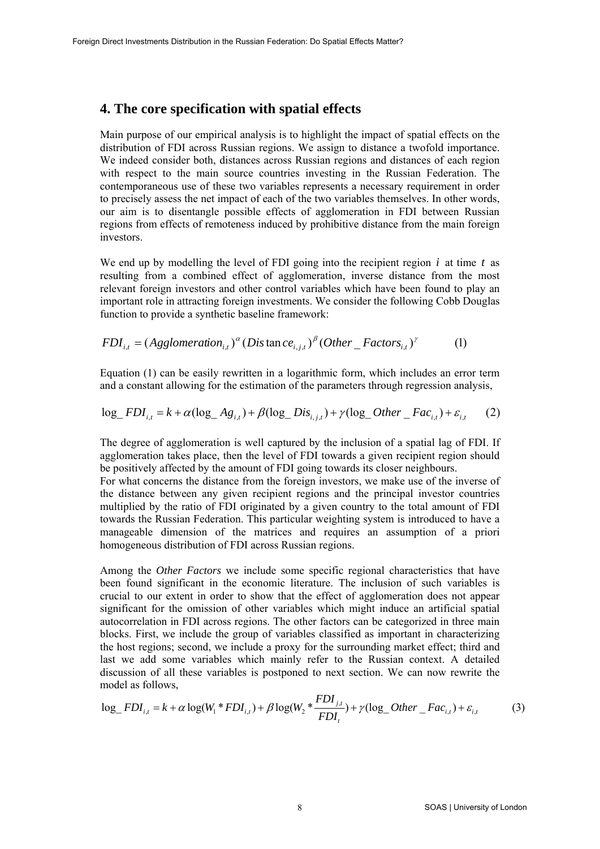### **4. The core specification with spatial effects**

Main purpose of our empirical analysis is to highlight the impact of spatial effects on the distribution of FDI across Russian regions. We assign to distance a twofold importance. We indeed consider both, distances across Russian regions and distances of each region with respect to the main source countries investing in the Russian Federation. The contemporaneous use of these two variables represents a necessary requirement in order to precisely assess the net impact of each of the two variables themselves. In other words, our aim is to disentangle possible effects of agglomeration in FDI between Russian regions from effects of remoteness induced by prohibitive distance from the main foreign investors.

We end up by modelling the level of FDI going into the recipient region *i* at time *t* as resulting from a combined effect of agglomeration, inverse distance from the most relevant foreign investors and other control variables which have been found to play an important role in attracting foreign investments. We consider the following Cobb Douglas function to provide a synthetic baseline framework:

$$
FDI_{i,t} = (Agglomeration_{i,t})^{\alpha} (Dis \tan ce_{i,j,t})^{\beta} (Other\_Factors_{i,t})^{\gamma}
$$
 (1)

Equation (1) can be easily rewritten in a logarithmic form, which includes an error term and a constant allowing for the estimation of the parameters through regression analysis,

$$
\log\_FDI_{i,t} = k + \alpha(\log_A g_{i,t}) + \beta(\log_B Dis_{i,j,t}) + \gamma(\log_A Other\_Fac_{i,t}) + \varepsilon_{i,t}
$$
 (2)

The degree of agglomeration is well captured by the inclusion of a spatial lag of FDI. If agglomeration takes place, then the level of FDI towards a given recipient region should be positively affected by the amount of FDI going towards its closer neighbours.

For what concerns the distance from the foreign investors, we make use of the inverse of the distance between any given recipient regions and the principal investor countries multiplied by the ratio of FDI originated by a given country to the total amount of FDI towards the Russian Federation. This particular weighting system is introduced to have a manageable dimension of the matrices and requires an assumption of a priori homogeneous distribution of FDI across Russian regions.

Among the *Other Factors* we include some specific regional characteristics that have been found significant in the economic literature. The inclusion of such variables is crucial to our extent in order to show that the effect of agglomeration does not appear significant for the omission of other variables which might induce an artificial spatial autocorrelation in FDI across regions. The other factors can be categorized in three main blocks. First, we include the group of variables classified as important in characterizing the host regions; second, we include a proxy for the surrounding market effect; third and last we add some variables which mainly refer to the Russian context. A detailed discussion of all these variables is postponed to next section. We can now rewrite the model as follows,

$$
\log\_FDI_{i,t} = k + \alpha \log(W_1 * FDI_{i,t}) + \beta \log(W_2 * \frac{FDI_{j,t}}{FDI_t}) + \gamma (\log\_Other\_Fac_{i,t}) + \varepsilon_{i,t}
$$
(3)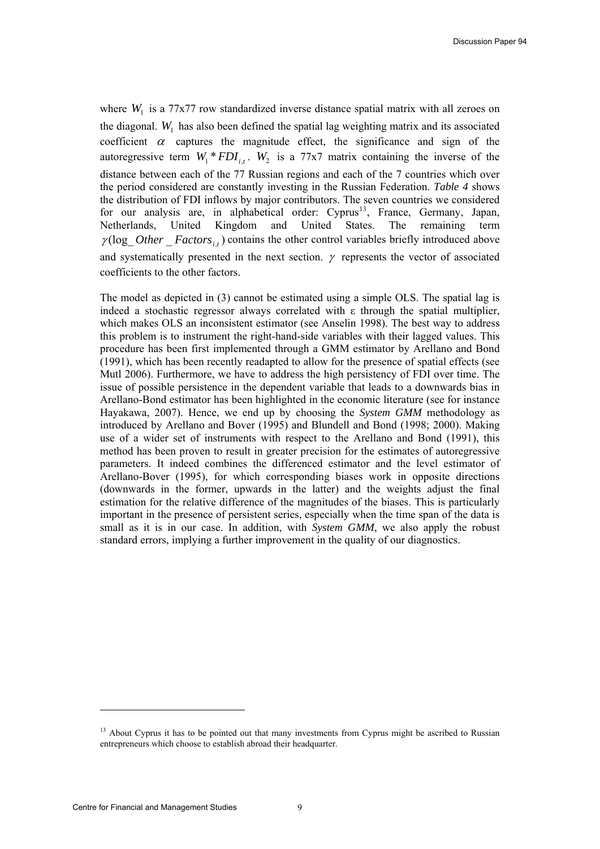<span id="page-8-0"></span>where  $W_1$  is a 77x77 row standardized inverse distance spatial matrix with all zeroes on the diagonal.  $W_1$  has also been defined the spatial lag weighting matrix and its associated coefficient  $\alpha$  captures the magnitude effect, the significance and sign of the autoregressive term  $W_1 * FDI_{i,t}$ .  $W_2$  is a 77x7 matrix containing the inverse of the distance between each of the 77 Russian regions and each of the 7 countries which over the period considered are constantly investing in the Russian Federation. *Table 4* shows the distribution of FDI inflows by major contributors. The seven countries we considered for our analysis are, in alphabetical order: Cyprus<sup>[13](#page-8-0)</sup>, France, Germany, Japan, Netherlands, United Kingdom and United States. The remaining term γ(log *Other Factors*  $_{i}$ , ) contains the other control variables briefly introduced above and systematically presented in the next section.  $\gamma$  represents the vector of associated coefficients to the other factors.

The model as depicted in (3) cannot be estimated using a simple OLS. The spatial lag is indeed a stochastic regressor always correlated with  $\varepsilon$  through the spatial multiplier, which makes OLS an inconsistent estimator (see Anselin 1998). The best way to address this problem is to instrument the right-hand-side variables with their lagged values. This procedure has been first implemented through a GMM estimator by Arellano and Bond (1991), which has been recently readapted to allow for the presence of spatial effects (see Mutl 2006). Furthermore, we have to address the high persistency of FDI over time. The issue of possible persistence in the dependent variable that leads to a downwards bias in Arellano-Bond estimator has been highlighted in the economic literature (see for instance Hayakawa, 2007). Hence, we end up by choosing the *System GMM* methodology as introduced by Arellano and Bover (1995) and Blundell and Bond (1998; 2000). Making use of a wider set of instruments with respect to the Arellano and Bond (1991), this method has been proven to result in greater precision for the estimates of autoregressive parameters. It indeed combines the differenced estimator and the level estimator of Arellano-Bover (1995), for which corresponding biases work in opposite directions (downwards in the former, upwards in the latter) and the weights adjust the final estimation for the relative difference of the magnitudes of the biases. This is particularly important in the presence of persistent series, especially when the time span of the data is small as it is in our case. In addition, with *System GMM*, we also apply the robust standard errors, implying a further improvement in the quality of our diagnostics.

l

<sup>&</sup>lt;sup>13</sup> About Cyprus it has to be pointed out that many investments from Cyprus might be ascribed to Russian entrepreneurs which choose to establish abroad their headquarter.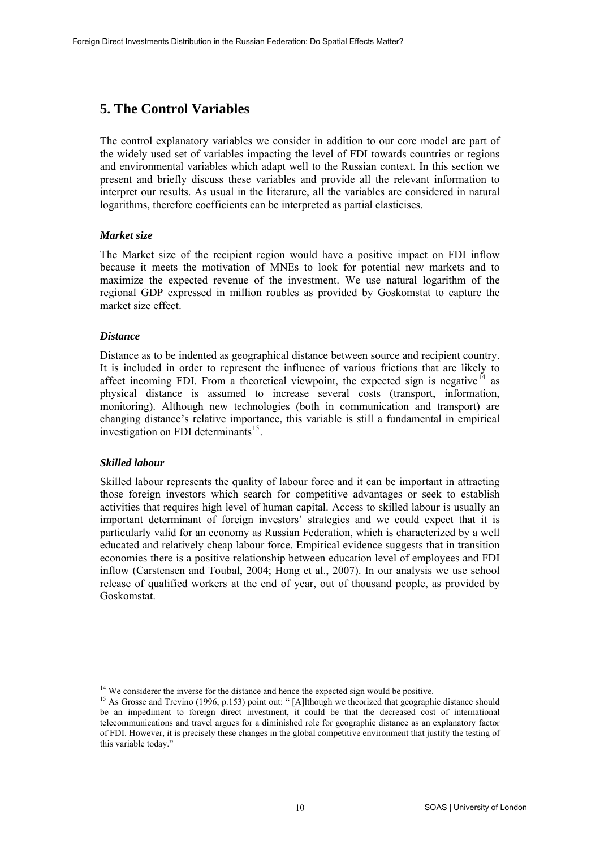# <span id="page-9-0"></span>**5. The Control Variables**

The control explanatory variables we consider in addition to our core model are part of the widely used set of variables impacting the level of FDI towards countries or regions and environmental variables which adapt well to the Russian context. In this section we present and briefly discuss these variables and provide all the relevant information to interpret our results. As usual in the literature, all the variables are considered in natural logarithms, therefore coefficients can be interpreted as partial elasticises.

#### *Market size*

The Market size of the recipient region would have a positive impact on FDI inflow because it meets the motivation of MNEs to look for potential new markets and to maximize the expected revenue of the investment. We use natural logarithm of the regional GDP expressed in million roubles as provided by Goskomstat to capture the market size effect.

#### *Distance*

Distance as to be indented as geographical distance between source and recipient country. It is included in order to represent the influence of various frictions that are likely to affect incoming FDI. From a theoretical viewpoint, the expected sign is negative<sup>[14](#page-9-0)</sup> as physical distance is assumed to increase several costs (transport, information, monitoring). Although new technologies (both in communication and transport) are changing distance's relative importance, this variable is still a fundamental in empirical investigation on FDI determinants $15$ .

#### *Skilled labour*

l

Skilled labour represents the quality of labour force and it can be important in attracting those foreign investors which search for competitive advantages or seek to establish activities that requires high level of human capital. Access to skilled labour is usually an important determinant of foreign investors' strategies and we could expect that it is particularly valid for an economy as Russian Federation, which is characterized by a well educated and relatively cheap labour force. Empirical evidence suggests that in transition economies there is a positive relationship between education level of employees and FDI inflow (Carstensen and Toubal, 2004; Hong et al., 2007). In our analysis we use school release of qualified workers at the end of year, out of thousand people, as provided by Goskomstat.

<sup>&</sup>lt;sup>14</sup> We considerer the inverse for the distance and hence the expected sign would be positive.<br><sup>15</sup> As Grosse and Trevino (1996, p.153) point out: " [A]lthough we theorized that geographic distance should be an impediment to foreign direct investment, it could be that the decreased cost of international telecommunications and travel argues for a diminished role for geographic distance as an explanatory factor of FDI. However, it is precisely these changes in the global competitive environment that justify the testing of this variable today."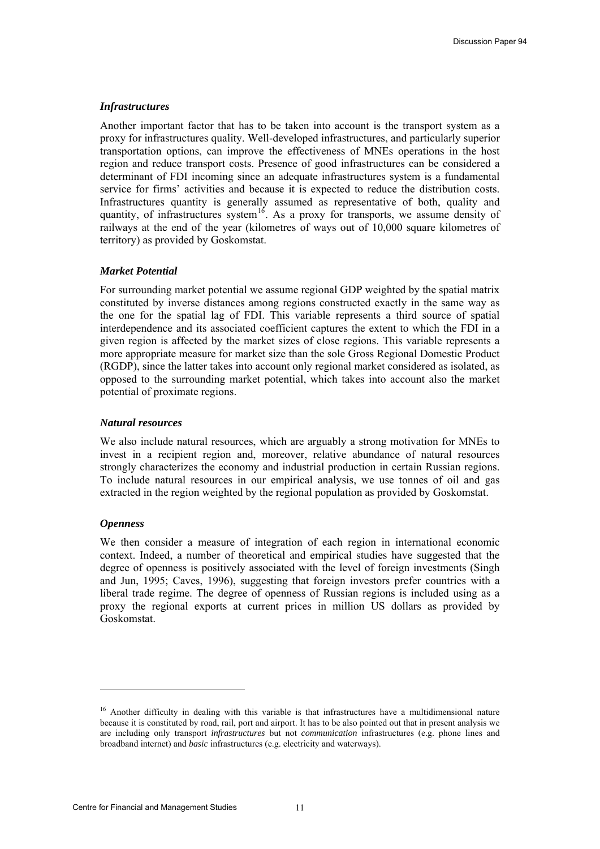#### <span id="page-10-0"></span>*Infrastructures*

Another important factor that has to be taken into account is the transport system as a proxy for infrastructures quality. Well-developed infrastructures, and particularly superior transportation options, can improve the effectiveness of MNEs operations in the host region and reduce transport costs. Presence of good infrastructures can be considered a determinant of FDI incoming since an adequate infrastructures system is a fundamental service for firms' activities and because it is expected to reduce the distribution costs. Infrastructures quantity is generally assumed as representative of both, quality and quantity, of infrastructures system<sup>[16](#page-10-0)</sup>. As a proxy for transports, we assume density of railways at the end of the year (kilometres of ways out of 10,000 square kilometres of territory) as provided by Goskomstat.

#### *Market Potential*

For surrounding market potential we assume regional GDP weighted by the spatial matrix constituted by inverse distances among regions constructed exactly in the same way as the one for the spatial lag of FDI. This variable represents a third source of spatial interdependence and its associated coefficient captures the extent to which the FDI in a given region is affected by the market sizes of close regions. This variable represents a more appropriate measure for market size than the sole Gross Regional Domestic Product (RGDP), since the latter takes into account only regional market considered as isolated, as opposed to the surrounding market potential, which takes into account also the market potential of proximate regions.

#### *Natural resources*

We also include natural resources, which are arguably a strong motivation for MNEs to invest in a recipient region and, moreover, relative abundance of natural resources strongly characterizes the economy and industrial production in certain Russian regions. To include natural resources in our empirical analysis, we use tonnes of oil and gas extracted in the region weighted by the regional population as provided by Goskomstat.

#### *Openness*

l

We then consider a measure of integration of each region in international economic context. Indeed, a number of theoretical and empirical studies have suggested that the degree of openness is positively associated with the level of foreign investments (Singh and Jun, 1995; Caves, 1996), suggesting that foreign investors prefer countries with a liberal trade regime. The degree of openness of Russian regions is included using as a proxy the regional exports at current prices in million US dollars as provided by Goskomstat.

<sup>&</sup>lt;sup>16</sup> Another difficulty in dealing with this variable is that infrastructures have a multidimensional nature because it is constituted by road, rail, port and airport. It has to be also pointed out that in present analysis we are including only transport *infrastructures* but not *communication* infrastructures (e.g. phone lines and broadband internet) and *basic* infrastructures (e.g. electricity and waterways).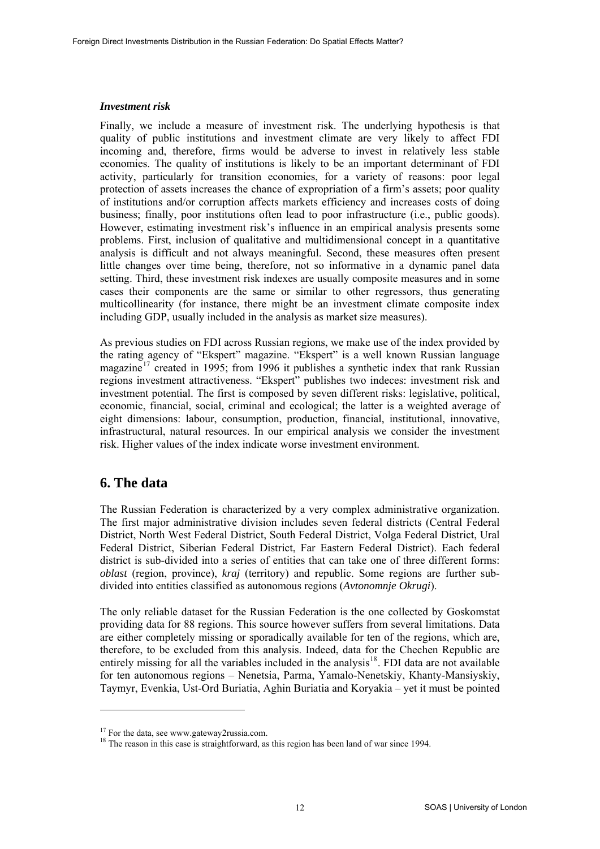#### <span id="page-11-0"></span>*Investment risk*

Finally, we include a measure of investment risk. The underlying hypothesis is that quality of public institutions and investment climate are very likely to affect FDI incoming and, therefore, firms would be adverse to invest in relatively less stable economies. The quality of institutions is likely to be an important determinant of FDI activity, particularly for transition economies, for a variety of reasons: poor legal protection of assets increases the chance of expropriation of a firm's assets; poor quality of institutions and/or corruption affects markets efficiency and increases costs of doing business; finally, poor institutions often lead to poor infrastructure (i.e., public goods). However, estimating investment risk's influence in an empirical analysis presents some problems. First, inclusion of qualitative and multidimensional concept in a quantitative analysis is difficult and not always meaningful. Second, these measures often present little changes over time being, therefore, not so informative in a dynamic panel data setting. Third, these investment risk indexes are usually composite measures and in some cases their components are the same or similar to other regressors, thus generating multicollinearity (for instance, there might be an investment climate composite index including GDP, usually included in the analysis as market size measures).

As previous studies on FDI across Russian regions, we make use of the index provided by the rating agency of "Ekspert" magazine. "Ekspert" is a well known Russian language magazine<sup>[17](#page-11-0)</sup> created in 1995; from 1996 it publishes a synthetic index that rank Russian regions investment attractiveness. "Ekspert" publishes two indeces: investment risk and investment potential. The first is composed by seven different risks: legislative, political, economic, financial, social, criminal and ecological; the latter is a weighted average of eight dimensions: labour, consumption, production, financial, institutional, innovative, infrastructural, natural resources. In our empirical analysis we consider the investment risk. Higher values of the index indicate worse investment environment.

# **6. The data**

l

The Russian Federation is characterized by a very complex administrative organization. The first major administrative division includes seven federal districts (Central Federal District, North West Federal District, South Federal District, Volga Federal District, Ural Federal District, Siberian Federal District, Far Eastern Federal District). Each federal district is sub-divided into a series of entities that can take one of three different forms: *oblast* (region, province), *kraj* (territory) and republic. Some regions are further subdivided into entities classified as autonomous regions (*Avtonomnje Okrugi*).

The only reliable dataset for the Russian Federation is the one collected by Goskomstat providing data for 88 regions. This source however suffers from several limitations. Data are either completely missing or sporadically available for ten of the regions, which are, therefore, to be excluded from this analysis. Indeed, data for the Chechen Republic are entirely missing for all the variables included in the analysis<sup>[18](#page-11-0)</sup>. FDI data are not available for ten autonomous regions – Nenetsia, Parma, Yamalo-Nenetskiy, Khanty-Mansiyskiy, Taymyr, Evenkia, Ust-Ord Buriatia, Aghin Buriatia and Koryakia – yet it must be pointed

<sup>&</sup>lt;sup>17</sup> For the data, see www.gateway2russia.com.

<sup>&</sup>lt;sup>18</sup> The reason in this case is straightforward, as this region has been land of war since 1994.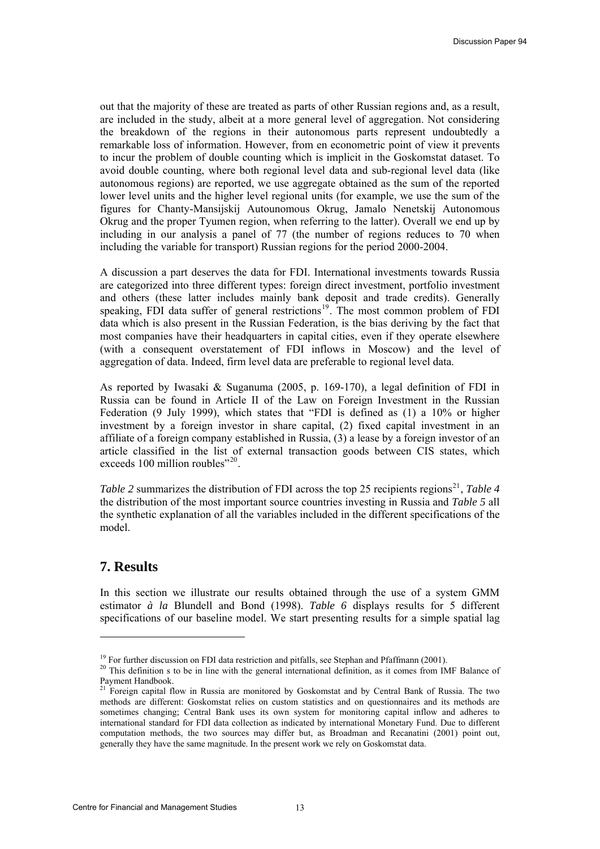<span id="page-12-0"></span>out that the majority of these are treated as parts of other Russian regions and, as a result, are included in the study, albeit at a more general level of aggregation. Not considering the breakdown of the regions in their autonomous parts represent undoubtedly a remarkable loss of information. However, from en econometric point of view it prevents to incur the problem of double counting which is implicit in the Goskomstat dataset. To avoid double counting, where both regional level data and sub-regional level data (like autonomous regions) are reported, we use aggregate obtained as the sum of the reported lower level units and the higher level regional units (for example, we use the sum of the figures for Chanty-Mansijskij Autounomous Okrug, Jamalo Nenetskij Autonomous Okrug and the proper Tyumen region, when referring to the latter). Overall we end up by including in our analysis a panel of 77 (the number of regions reduces to 70 when including the variable for transport) Russian regions for the period 2000-2004.

A discussion a part deserves the data for FDI. International investments towards Russia are categorized into three different types: foreign direct investment, portfolio investment and others (these latter includes mainly bank deposit and trade credits). Generally speaking, FDI data suffer of general restrictions<sup>[19](#page-12-0)</sup>. The most common problem of FDI data which is also present in the Russian Federation, is the bias deriving by the fact that most companies have their headquarters in capital cities, even if they operate elsewhere (with a consequent overstatement of FDI inflows in Moscow) and the level of aggregation of data. Indeed, firm level data are preferable to regional level data.

As reported by Iwasaki & Suganuma (2005, p. 169-170), a legal definition of FDI in Russia can be found in Article II of the Law on Foreign Investment in the Russian Federation (9 July 1999), which states that "FDI is defined as (1) a 10% or higher investment by a foreign investor in share capital, (2) fixed capital investment in an affiliate of a foreign company established in Russia, (3) a lease by a foreign investor of an article classified in the list of external transaction goods between CIS states, which exceeds 100 million roubles"<sup>[20](#page-12-0)</sup>.

*Table 2* summarizes the distribution of FDI across the top 25 recipients regions<sup>[21](#page-12-0)</sup>, *Table 4* the distribution of the most important source countries investing in Russia and *Table 5* all the synthetic explanation of all the variables included in the different specifications of the model.

# **7. Results**

l

In this section we illustrate our results obtained through the use of a system GMM estimator *à la* Blundell and Bond (1998). *Table 6* displays results for 5 different specifications of our baseline model. We start presenting results for a simple spatial lag

<sup>&</sup>lt;sup>19</sup> For further discussion on FDI data restriction and pitfalls, see Stephan and Pfaffmann (2001).<br><sup>20</sup> This definition s to be in line with the general international definition, as it comes from IMF Balance of Payment Handbook.

<sup>21</sup> Foreign capital flow in Russia are monitored by Goskomstat and by Central Bank of Russia. The two methods are different: Goskomstat relies on custom statistics and on questionnaires and its methods are sometimes changing; Central Bank uses its own system for monitoring capital inflow and adheres to international standard for FDI data collection as indicated by international Monetary Fund. Due to different computation methods, the two sources may differ but, as Broadman and Recanatini (2001) point out, generally they have the same magnitude. In the present work we rely on Goskomstat data.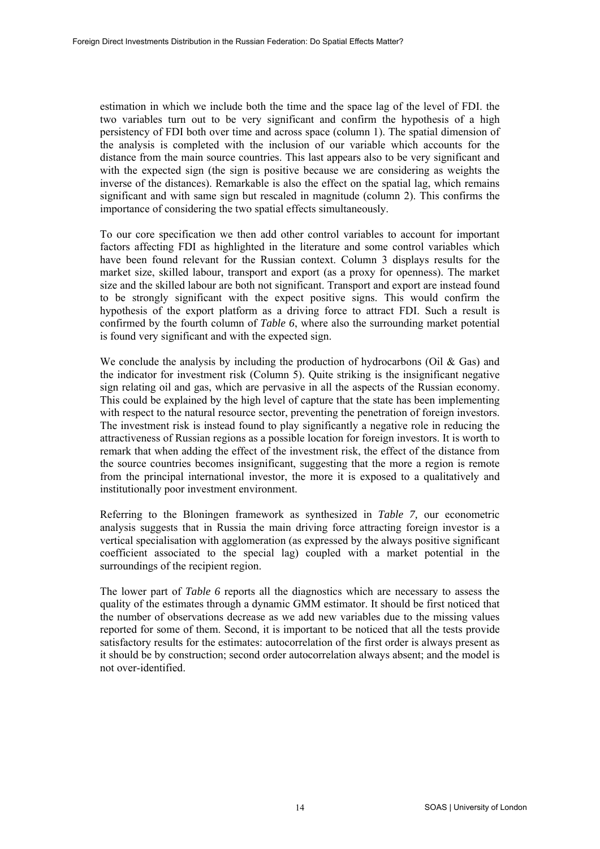estimation in which we include both the time and the space lag of the level of FDI. the two variables turn out to be very significant and confirm the hypothesis of a high persistency of FDI both over time and across space (column 1). The spatial dimension of the analysis is completed with the inclusion of our variable which accounts for the distance from the main source countries. This last appears also to be very significant and with the expected sign (the sign is positive because we are considering as weights the inverse of the distances). Remarkable is also the effect on the spatial lag, which remains significant and with same sign but rescaled in magnitude (column 2). This confirms the importance of considering the two spatial effects simultaneously.

To our core specification we then add other control variables to account for important factors affecting FDI as highlighted in the literature and some control variables which have been found relevant for the Russian context. Column 3 displays results for the market size, skilled labour, transport and export (as a proxy for openness). The market size and the skilled labour are both not significant. Transport and export are instead found to be strongly significant with the expect positive signs. This would confirm the hypothesis of the export platform as a driving force to attract FDI. Such a result is confirmed by the fourth column of *Table 6*, where also the surrounding market potential is found very significant and with the expected sign.

We conclude the analysis by including the production of hydrocarbons (Oil  $\&$  Gas) and the indicator for investment risk (Column 5). Quite striking is the insignificant negative sign relating oil and gas, which are pervasive in all the aspects of the Russian economy. This could be explained by the high level of capture that the state has been implementing with respect to the natural resource sector, preventing the penetration of foreign investors. The investment risk is instead found to play significantly a negative role in reducing the attractiveness of Russian regions as a possible location for foreign investors. It is worth to remark that when adding the effect of the investment risk, the effect of the distance from the source countries becomes insignificant, suggesting that the more a region is remote from the principal international investor, the more it is exposed to a qualitatively and institutionally poor investment environment.

Referring to the Bloningen framework as synthesized in *Table 7,* our econometric analysis suggests that in Russia the main driving force attracting foreign investor is a vertical specialisation with agglomeration (as expressed by the always positive significant coefficient associated to the special lag) coupled with a market potential in the surroundings of the recipient region.

The lower part of *Table 6* reports all the diagnostics which are necessary to assess the quality of the estimates through a dynamic GMM estimator. It should be first noticed that the number of observations decrease as we add new variables due to the missing values reported for some of them. Second, it is important to be noticed that all the tests provide satisfactory results for the estimates: autocorrelation of the first order is always present as it should be by construction; second order autocorrelation always absent; and the model is not over-identified.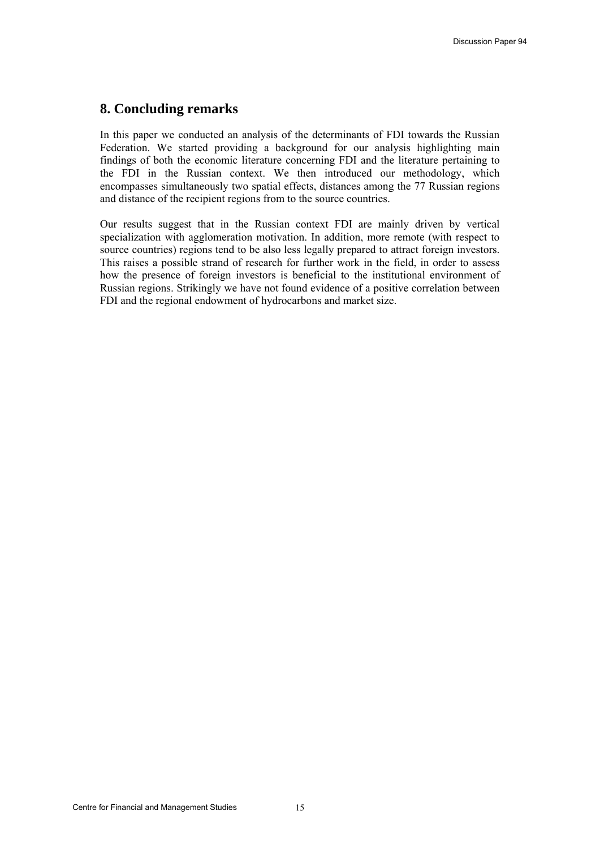### **8. Concluding remarks**

In this paper we conducted an analysis of the determinants of FDI towards the Russian Federation. We started providing a background for our analysis highlighting main findings of both the economic literature concerning FDI and the literature pertaining to the FDI in the Russian context. We then introduced our methodology, which encompasses simultaneously two spatial effects, distances among the 77 Russian regions and distance of the recipient regions from to the source countries.

Our results suggest that in the Russian context FDI are mainly driven by vertical specialization with agglomeration motivation. In addition, more remote (with respect to source countries) regions tend to be also less legally prepared to attract foreign investors. This raises a possible strand of research for further work in the field, in order to assess how the presence of foreign investors is beneficial to the institutional environment of Russian regions. Strikingly we have not found evidence of a positive correlation between FDI and the regional endowment of hydrocarbons and market size.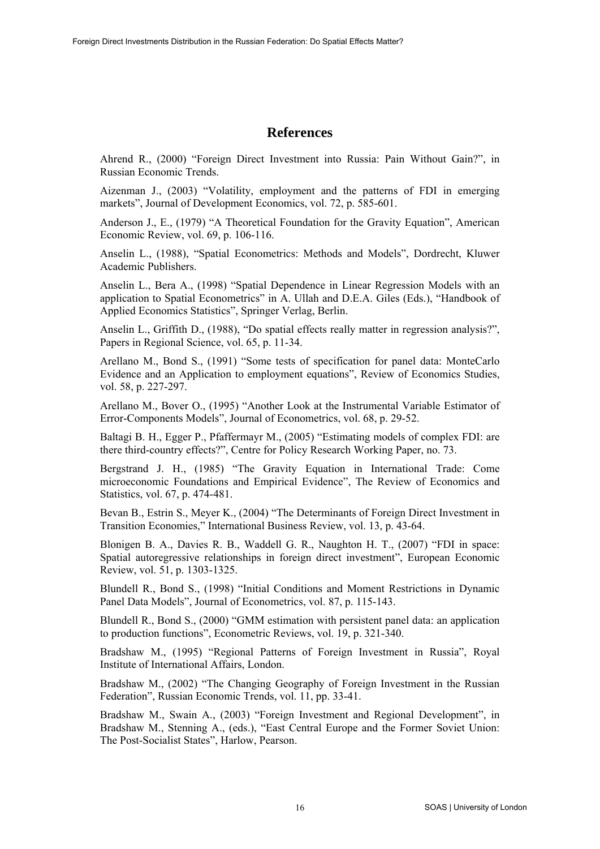### **References**

Ahrend R., (2000) "Foreign Direct Investment into Russia: Pain Without Gain?", in Russian Economic Trends.

Aizenman J., (2003) "Volatility, employment and the patterns of FDI in emerging markets", Journal of Development Economics, vol. 72, p. 585-601.

Anderson J., E., (1979) "A Theoretical Foundation for the Gravity Equation", American Economic Review, vol. 69, p. 106-116.

Anselin L., (1988), "Spatial Econometrics: Methods and Models", Dordrecht, Kluwer Academic Publishers.

Anselin L., Bera A., (1998) "Spatial Dependence in Linear Regression Models with an application to Spatial Econometrics" in A. Ullah and D.E.A. Giles (Eds.), "Handbook of Applied Economics Statistics", Springer Verlag, Berlin.

Anselin L., Griffith D., (1988), "Do spatial effects really matter in regression analysis?", Papers in Regional Science, vol. 65, p. 11-34.

Arellano M., Bond S., (1991) "Some tests of specification for panel data: MonteCarlo Evidence and an Application to employment equations", Review of Economics Studies, vol. 58, p. 227-297.

Arellano M., Bover O., (1995) "Another Look at the Instrumental Variable Estimator of Error-Components Models", Journal of Econometrics, vol. 68, p. 29-52.

Baltagi B. H., Egger P., Pfaffermayr M., (2005) "Estimating models of complex FDI: are there third-country effects?", Centre for Policy Research Working Paper, no. 73.

Bergstrand J. H., (1985) "The Gravity Equation in International Trade: Come microeconomic Foundations and Empirical Evidence", The Review of Economics and Statistics, vol. 67, p. 474-481.

Bevan B., Estrin S., Meyer K., (2004) "The Determinants of Foreign Direct Investment in Transition Economies," International Business Review, vol. 13, p. 43-64.

Blonigen B. A., Davies R. B., Waddell G. R., Naughton H. T., (2007) "FDI in space: Spatial autoregressive relationships in foreign direct investment", European Economic Review, vol. 51, p. 1303-1325.

Blundell R., Bond S., (1998) "Initial Conditions and Moment Restrictions in Dynamic Panel Data Models", Journal of Econometrics, vol. 87, p. 115-143.

Blundell R., Bond S., (2000) "GMM estimation with persistent panel data: an application to production functions", Econometric Reviews, vol. 19, p. 321-340.

Bradshaw M., (1995) "Regional Patterns of Foreign Investment in Russia", Royal Institute of International Affairs, London.

Bradshaw M., (2002) "The Changing Geography of Foreign Investment in the Russian Federation", Russian Economic Trends, vol. 11, pp. 33-41.

Bradshaw M., Swain A., (2003) "Foreign Investment and Regional Development", in Bradshaw M., Stenning A., (eds.), "East Central Europe and the Former Soviet Union: The Post-Socialist States", Harlow, Pearson.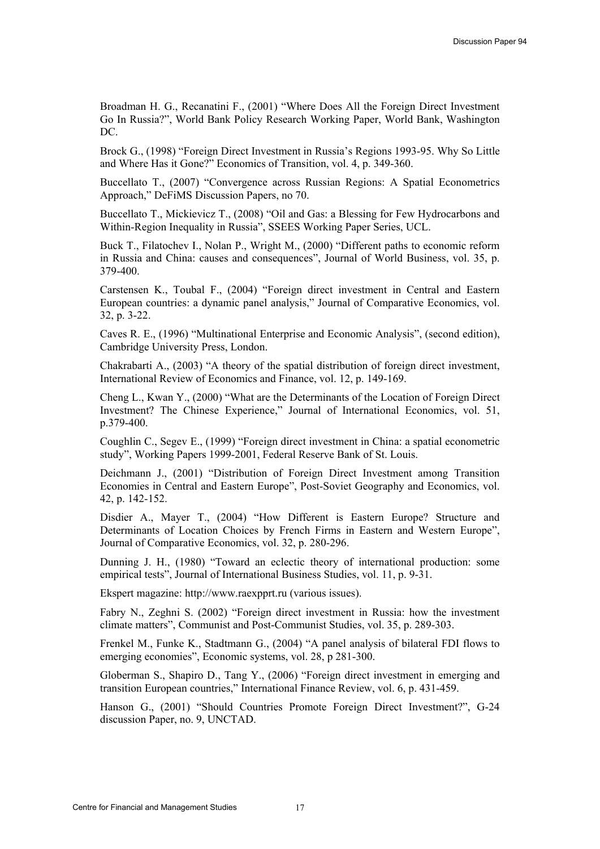Broadman H. G., Recanatini F., (2001) "Where Does All the Foreign Direct Investment Go In Russia?", World Bank Policy Research Working Paper, World Bank, Washington DC.

Brock G., (1998) "Foreign Direct Investment in Russia's Regions 1993-95. Why So Little and Where Has it Gone?" Economics of Transition, vol. 4, p. 349-360.

Buccellato T., (2007) "Convergence across Russian Regions: A Spatial Econometrics Approach," DeFiMS Discussion Papers, no 70.

Buccellato T., Mickievicz T., (2008) "Oil and Gas: a Blessing for Few Hydrocarbons and Within-Region Inequality in Russia", SSEES Working Paper Series, UCL.

Buck T., Filatochev I., Nolan P., Wright M., (2000) "Different paths to economic reform in Russia and China: causes and consequences", Journal of World Business, vol. 35, p. 379-400.

Carstensen K., Toubal F., (2004) "Foreign direct investment in Central and Eastern European countries: a dynamic panel analysis," Journal of Comparative Economics, vol. 32, p. 3-22.

Caves R. E., (1996) "Multinational Enterprise and Economic Analysis", (second edition), Cambridge University Press, London.

Chakrabarti A., (2003) "A theory of the spatial distribution of foreign direct investment, International Review of Economics and Finance, vol. 12, p. 149-169.

Cheng L., Kwan Y., (2000) "What are the Determinants of the Location of Foreign Direct Investment? The Chinese Experience," Journal of International Economics, vol. 51, p.379-400.

Coughlin C., Segev E., (1999) "Foreign direct investment in China: a spatial econometric study", Working Papers 1999-2001, Federal Reserve Bank of St. Louis.

Deichmann J., (2001) "Distribution of Foreign Direct Investment among Transition Economies in Central and Eastern Europe", Post-Soviet Geography and Economics, vol. 42, p. 142-152.

Disdier A., Mayer T., (2004) "How Different is Eastern Europe? Structure and Determinants of Location Choices by French Firms in Eastern and Western Europe", Journal of Comparative Economics, vol. 32, p. 280-296.

Dunning J. H., (1980) "Toward an eclectic theory of international production: some empirical tests", Journal of International Business Studies, vol. 11, p. 9-31.

Ekspert magazine: http://www.raexpprt.ru (various issues).

Fabry N., Zeghni S. (2002) "Foreign direct investment in Russia: how the investment climate matters", Communist and Post-Communist Studies, vol. 35, p. 289-303.

Frenkel M., Funke K., Stadtmann G., (2004) "A panel analysis of bilateral FDI flows to emerging economies", Economic systems, vol. 28, p 281-300.

Globerman S., Shapiro D., Tang Y., (2006) "Foreign direct investment in emerging and transition European countries," International Finance Review, vol. 6, p. 431-459.

Hanson G., (2001) "Should Countries Promote Foreign Direct Investment?", G-24 discussion Paper, no. 9, UNCTAD.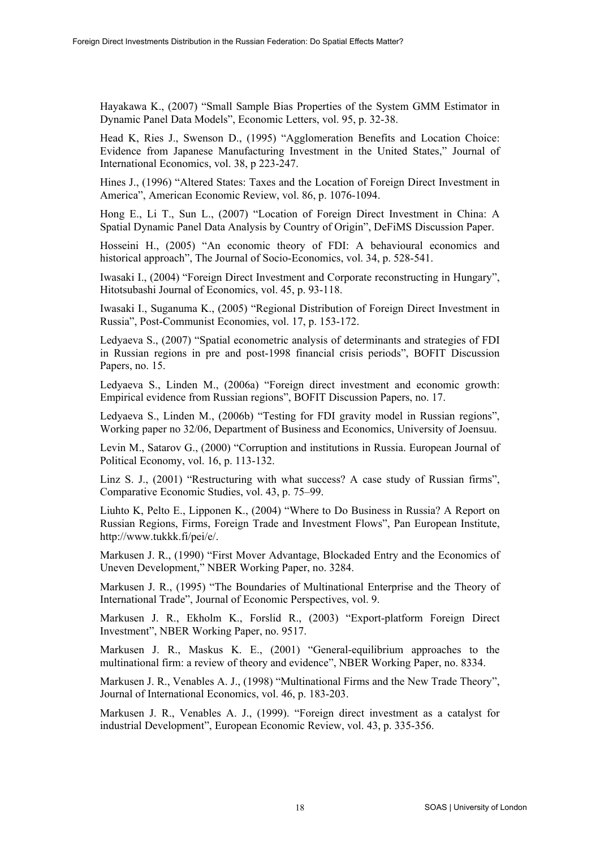Hayakawa K., (2007) "Small Sample Bias Properties of the System GMM Estimator in Dynamic Panel Data Models", Economic Letters, vol. 95, p. 32-38.

Head K, Ries J., Swenson D., (1995) "Agglomeration Benefits and Location Choice: Evidence from Japanese Manufacturing Investment in the United States," Journal of International Economics, vol. 38, p 223-247.

Hines J., (1996) "Altered States: Taxes and the Location of Foreign Direct Investment in America", American Economic Review, vol. 86, p. 1076-1094.

Hong E., Li T., Sun L., (2007) "Location of Foreign Direct Investment in China: A Spatial Dynamic Panel Data Analysis by Country of Origin", DeFiMS Discussion Paper.

Hosseini H., (2005) "An economic theory of FDI: A behavioural economics and historical approach", The Journal of Socio-Economics, vol. 34, p. 528-541.

Iwasaki I., (2004) "Foreign Direct Investment and Corporate reconstructing in Hungary", Hitotsubashi Journal of Economics, vol. 45, p. 93-118.

Iwasaki I., Suganuma K., (2005) "Regional Distribution of Foreign Direct Investment in Russia", Post-Communist Economies, vol. 17, p. 153-172.

Ledyaeva S., (2007) "Spatial econometric analysis of determinants and strategies of FDI in Russian regions in pre and post-1998 financial crisis periods", BOFIT Discussion Papers, no. 15.

Ledyaeva S., Linden M., (2006a) "Foreign direct investment and economic growth: Empirical evidence from Russian regions", BOFIT Discussion Papers, no. 17.

Ledyaeva S., Linden M., (2006b) "Testing for FDI gravity model in Russian regions", Working paper no 32/06, Department of Business and Economics, University of Joensuu.

Levin M., Satarov G., (2000) "Corruption and institutions in Russia. European Journal of Political Economy, vol. 16, p. 113-132.

Linz S. J., (2001) "Restructuring with what success? A case study of Russian firms", Comparative Economic Studies, vol. 43, p. 75–99.

Liuhto K, Pelto E., Lipponen K., (2004) "Where to Do Business in Russia? A Report on Russian Regions, Firms, Foreign Trade and Investment Flows", Pan European Institute, http://www.tukkk.fi/pei/e/.

Markusen J. R., (1990) "First Mover Advantage, Blockaded Entry and the Economics of Uneven Development," NBER Working Paper, no. 3284.

Markusen J. R., (1995) "The Boundaries of Multinational Enterprise and the Theory of International Trade", Journal of Economic Perspectives, vol. 9.

Markusen J. R., Ekholm K., Forslid R., (2003) "Export-platform Foreign Direct Investment", NBER Working Paper, no. 9517.

Markusen J. R., Maskus K. E., (2001) "General-equilibrium approaches to the multinational firm: a review of theory and evidence", NBER Working Paper, no. 8334.

Markusen J. R., Venables A. J., (1998) "Multinational Firms and the New Trade Theory", Journal of International Economics, vol. 46, p. 183-203.

Markusen J. R., Venables A. J., (1999). "Foreign direct investment as a catalyst for industrial Development", European Economic Review, vol. 43, p. 335-356.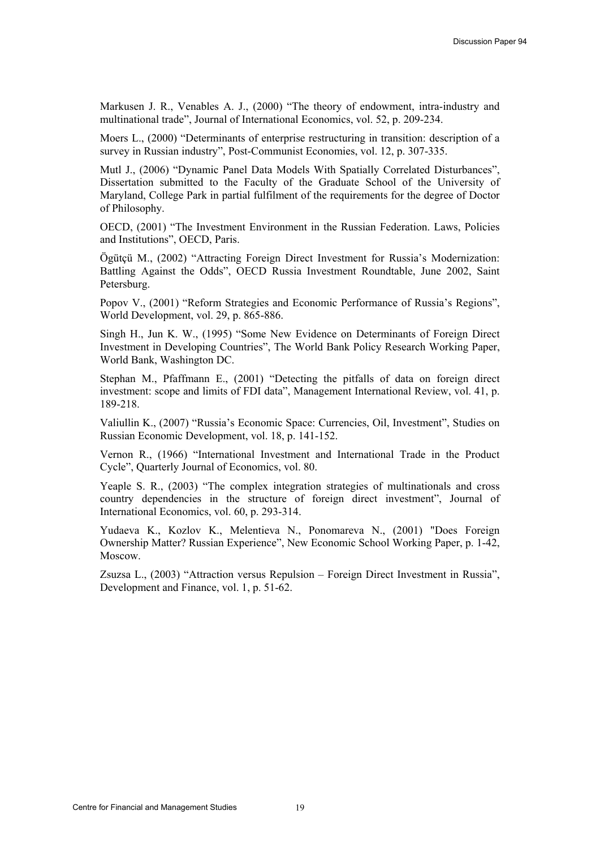Markusen J. R., Venables A. J., (2000) "The theory of endowment, intra-industry and multinational trade", Journal of International Economics, vol. 52, p. 209-234.

Moers L., (2000) "Determinants of enterprise restructuring in transition: description of a survey in Russian industry", Post-Communist Economies, vol. 12, p. 307-335.

Mutl J., (2006) "Dynamic Panel Data Models With Spatially Correlated Disturbances", Dissertation submitted to the Faculty of the Graduate School of the University of Maryland, College Park in partial fulfilment of the requirements for the degree of Doctor of Philosophy.

OECD, (2001) "The Investment Environment in the Russian Federation. Laws, Policies and Institutions", OECD, Paris.

Ögütçü M., (2002) "Attracting Foreign Direct Investment for Russia's Modernization: Battling Against the Odds", OECD Russia Investment Roundtable, June 2002, Saint Petersburg.

Popov V., (2001) "Reform Strategies and Economic Performance of Russia's Regions", World Development, vol. 29, p. 865-886.

Singh H., Jun K. W., (1995) "Some New Evidence on Determinants of Foreign Direct Investment in Developing Countries", The World Bank Policy Research Working Paper, World Bank, Washington DC.

Stephan M., Pfaffmann E., (2001) "Detecting the pitfalls of data on foreign direct investment: scope and limits of FDI data", Management International Review, vol. 41, p. 189-218.

Valiullin K., (2007) "Russia's Economic Space: Currencies, Oil, Investment", Studies on Russian Economic Development, vol. 18, p. 141-152.

Vernon R., (1966) "International Investment and International Trade in the Product Cycle", Quarterly Journal of Economics, vol. 80.

Yeaple S. R., (2003) "The complex integration strategies of multinationals and cross country dependencies in the structure of foreign direct investment", Journal of International Economics, vol. 60, p. 293-314.

Yudaeva K., Kozlov K., Melentieva N., Ponomareva N., (2001) "Does Foreign Ownership Matter? Russian Experience", New Economic School Working Paper, p. 1-42, Moscow.

Zsuzsa L., (2003) "Attraction versus Repulsion – Foreign Direct Investment in Russia", Development and Finance, vol. 1, p. 51-62.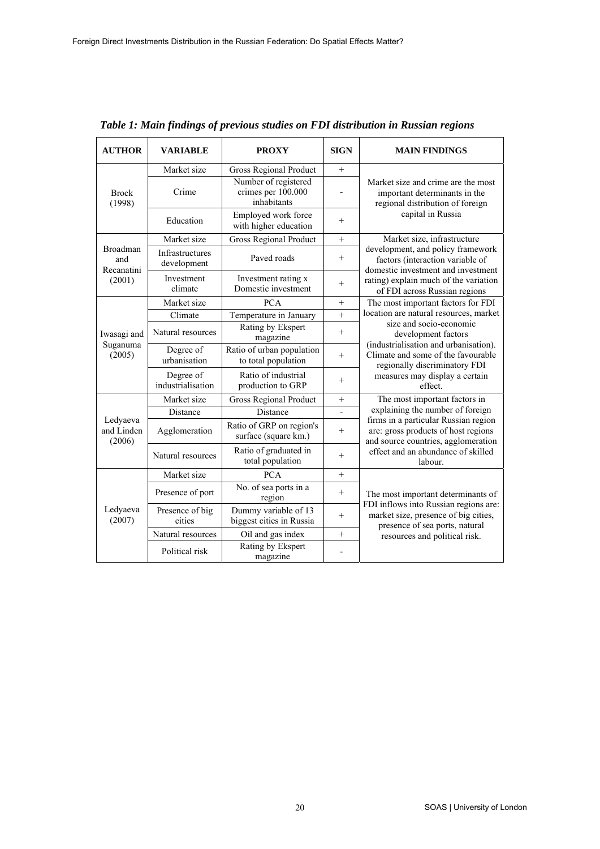| <b>AUTHOR</b>                     | <b>VARIABLE</b>                | <b>PROXY</b>                                              | <b>SIGN</b>    | <b>MAIN FINDINGS</b>                                                                                               |  |
|-----------------------------------|--------------------------------|-----------------------------------------------------------|----------------|--------------------------------------------------------------------------------------------------------------------|--|
|                                   | Market size                    | Gross Regional Product                                    | $+$            |                                                                                                                    |  |
| <b>Brock</b><br>(1998)            | Crime                          | Number of registered<br>crimes per 100.000<br>inhabitants | $\overline{a}$ | Market size and crime are the most<br>important determinants in the<br>regional distribution of foreign            |  |
|                                   | Education                      | Employed work force<br>with higher education              | $^{+}$         | capital in Russia                                                                                                  |  |
|                                   | Market size                    | <b>Gross Regional Product</b>                             | $+$            | Market size, infrastructure                                                                                        |  |
| Broadman<br>and<br>Recanatini     | Infrastructures<br>development | Paved roads                                               | $^{+}$         | development, and policy framework<br>factors (interaction variable of<br>domestic investment and investment        |  |
| (2001)                            | Investment<br>climate          | Investment rating x<br>Domestic investment                | $^{+}$         | rating) explain much of the variation<br>of FDI across Russian regions                                             |  |
|                                   | Market size                    | <b>PCA</b><br>$^{+}$                                      |                | The most important factors for FDI                                                                                 |  |
| Iwasagi and<br>Suganuma<br>(2005) | Climate                        | Temperature in January                                    |                | location are natural resources, market                                                                             |  |
|                                   | Natural resources              | Rating by Ekspert<br>magazine                             | $^{+}$         | size and socio-economic<br>development factors                                                                     |  |
|                                   | Degree of<br>urbanisation      | Ratio of urban population<br>to total population          | $^{+}$         | (industrialisation and urbanisation).<br>Climate and some of the favourable<br>regionally discriminatory FDI       |  |
|                                   | Degree of<br>industrialisation | Ratio of industrial<br>production to GRP                  | $^{+}$         | measures may display a certain<br>effect.                                                                          |  |
|                                   | Market size                    | Gross Regional Product                                    | $+$            | The most important factors in                                                                                      |  |
|                                   | Distance                       | Distance                                                  |                | explaining the number of foreign                                                                                   |  |
| Ledyaeva<br>and Linden<br>(2006)  | Agglomeration                  | Ratio of GRP on region's<br>surface (square km.)          | $^{+}$         | firms in a particular Russian region<br>are: gross products of host regions<br>and source countries, agglomeration |  |
|                                   | Natural resources              | Ratio of graduated in<br>$^{+}$<br>total population       |                | effect and an abundance of skilled<br>labour.                                                                      |  |
|                                   | Market size                    | <b>PCA</b>                                                | $\ddot{}$      |                                                                                                                    |  |
|                                   | Presence of port               | No. of sea ports in a<br>region                           | $^{+}$         | The most important determinants of                                                                                 |  |
| Ledyaeva<br>(2007)                | Presence of big<br>cities      | Dummy variable of 13<br>biggest cities in Russia          | $^{+}$         | FDI inflows into Russian regions are:<br>market size, presence of big cities,<br>presence of sea ports, natural    |  |
|                                   | Natural resources              | Oil and gas index                                         | $+$            | resources and political risk.                                                                                      |  |
|                                   | Political risk                 | Rating by Ekspert<br>magazine                             |                |                                                                                                                    |  |

*Table 1: Main findings of previous studies on FDI distribution in Russian regions*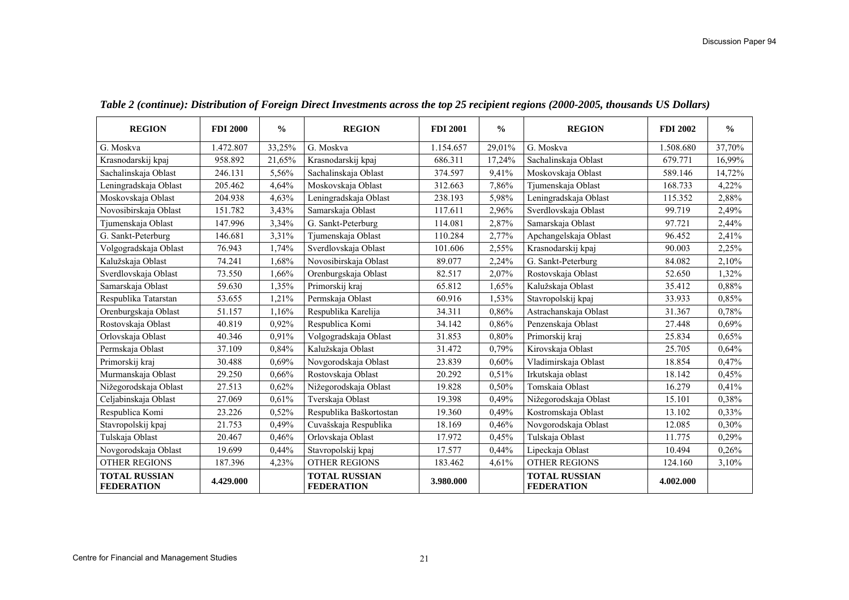| <b>REGION</b>                             | <b>FDI 2000</b> | $\frac{0}{0}$ | <b>REGION</b>                             | <b>FDI 2001</b> | $\frac{0}{0}$ | <b>REGION</b>                             | <b>FDI 2002</b> | $\frac{0}{0}$ |
|-------------------------------------------|-----------------|---------------|-------------------------------------------|-----------------|---------------|-------------------------------------------|-----------------|---------------|
| G. Moskva                                 | 1.472.807       | 33,25%        | G. Moskva                                 | 1.154.657       | 29,01%        | G. Moskva                                 | 1.508.680       | 37,70%        |
| Krasnodarskij kpaj                        | 958.892         | 21,65%        | Krasnodarskij kpaj                        | 686.311         | 17,24%        | Sachalinskaja Oblast                      | 679.771         | 16,99%        |
| Sachalinskaja Oblast                      | 246.131         | 5,56%         | Sachalinskaja Oblast                      | 374.597         | 9,41%         | Moskovskaja Oblast                        | 589.146         | 14,72%        |
| Leningradskaja Oblast                     | 205.462         | 4,64%         | Moskovskaja Oblast                        | 312.663         | 7,86%         | Tjumenskaja Oblast                        | 168.733         | $4,22\%$      |
| Moskovskaja Oblast                        | 204.938         | 4,63%         | Leningradskaja Oblast                     | 238.193         | 5,98%         | Leningradskaja Oblast                     | 115.352         | 2,88%         |
| Novosibirskaja Oblast                     | 151.782         | 3,43%         | Samarskaja Oblast                         | 117.611         | 2,96%         | Sverdlovskaja Oblast                      | 99.719          | 2,49%         |
| Tjumenskaja Oblast                        | 147.996         | 3,34%         | G. Sankt-Peterburg                        | 114.081         | 2,87%         | Samarskaja Oblast                         | 97.721          | 2,44%         |
| G. Sankt-Peterburg                        | 146.681         | 3,31%         | Tjumenskaja Oblast                        | 110.284         | 2,77%         | Apchangelskaja Oblast                     | 96.452          | 2,41%         |
| Volgogradskaja Oblast                     | 76.943          | 1,74%         | Sverdlovskaja Oblast                      | 101.606         | 2,55%         | Krasnodarskij kpaj                        | 90.003          | 2,25%         |
| Kalužskaja Oblast                         | 74.241          | 1,68%         | Novosibirskaja Oblast                     | 89.077          | 2,24%         | G. Sankt-Peterburg                        | 84.082          | 2,10%         |
| Sverdlovskaja Oblast                      | 73.550          | 1,66%         | Orenburgskaja Oblast                      | 82.517          | 2,07%         | Rostovskaja Oblast                        | 52.650          | 1,32%         |
| Samarskaja Oblast                         | 59.630          | 1,35%         | Primorskij kraj                           | 65.812          | 1,65%         | Kalužskaja Oblast                         | 35.412          | 0,88%         |
| Respublika Tatarstan                      | 53.655          | 1,21%         | Permskaja Oblast                          | 60.916          | 1,53%         | Stavropolskij kpaj                        | 33.933          | 0,85%         |
| Orenburgskaja Oblast                      | 51.157          | 1,16%         | Respublika Karelija                       | 34.311          | 0,86%         | Astrachanskaja Oblast                     | 31.367          | 0,78%         |
| Rostovskaja Oblast                        | 40.819          | 0,92%         | Respublica Komi                           | 34.142          | 0,86%         | Penzenskaja Oblast                        | 27.448          | 0,69%         |
| Orlovskaja Oblast                         | 40.346          | 0.91%         | Volgogradskaja Oblast                     | 31.853          | 0.80%         | Primorskij kraj                           | 25.834          | 0.65%         |
| Permskaja Oblast                          | 37.109          | 0,84%         | Kalužskaja Oblast                         | 31.472          | 0,79%         | Kirovskaja Oblast                         | 25.705          | 0,64%         |
| Primorskij kraj                           | 30.488          | 0.69%         | Novgorodskaja Oblast                      | 23.839          | 0,60%         | Vladimirskaja Oblast                      | 18.854          | 0,47%         |
| Murmanskaja Oblast                        | 29.250          | 0,66%         | Rostovskaja Oblast                        | 20.292          | 0,51%         | Irkutskaja oblast                         | 18.142          | 0.45%         |
| Nižegorodskaja Oblast                     | 27.513          | 0.62%         | Nižegorodskaja Oblast                     | 19.828          | 0,50%         | Tomskaia Oblast                           | 16.279          | 0,41%         |
| Celjabinskaja Oblast                      | 27.069          | 0,61%         | Tverskaja Oblast                          | 19.398          | 0,49%         | Nižegorodskaja Oblast                     | 15.101          | 0,38%         |
| Respublica Komi                           | 23.226          | 0,52%         | Respublika Baškortostan                   | 19.360          | 0,49%         | Kostromskaja Oblast                       | 13.102          | $0.33\%$      |
| Stavropolskij kpaj                        | 21.753          | 0,49%         | Cuvašskaja Respublika                     | 18.169          | 0,46%         | Novgorodskaja Oblast                      | 12.085          | 0,30%         |
| Tulskaja Oblast                           | 20.467          | 0.46%         | Orlovskaja Oblast                         | 17.972          | 0,45%         | Tulskaja Oblast                           | 11.775          | 0.29%         |
| Novgorodskaja Oblast                      | 19.699          | 0,44%         | Stavropolskij kpaj                        | 17.577          | 0,44%         | Lipeckaja Oblast                          | 10.494          | 0,26%         |
| OTHER REGIONS                             | 187.396         | 4,23%         | <b>OTHER REGIONS</b>                      | 183.462         | 4,61%         | <b>OTHER REGIONS</b>                      | 124.160         | 3,10%         |
| <b>TOTAL RUSSIAN</b><br><b>FEDERATION</b> | 4.429.000       |               | <b>TOTAL RUSSIAN</b><br><b>FEDERATION</b> | 3.980.000       |               | <b>TOTAL RUSSIAN</b><br><b>FEDERATION</b> | 4.002.000       |               |

*Table 2 (continue): Distribution of Foreign Direct Investments across the top 25 recipient regions (2000-2005, thousands US Dollars)*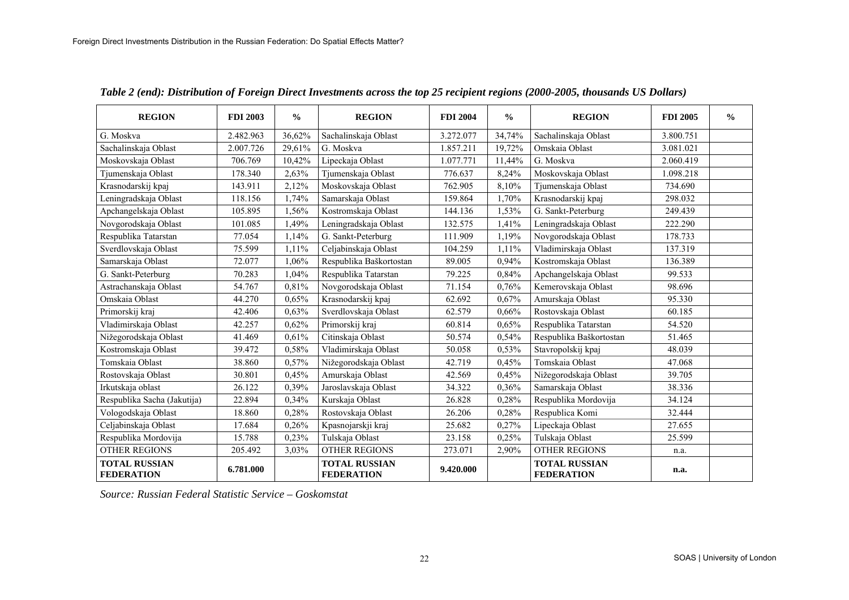| <b>REGION</b>                             | <b>FDI 2003</b> | $\frac{0}{0}$ | <b>REGION</b>                             | <b>FDI 2004</b> | $\frac{0}{0}$ | <b>REGION</b>                             | <b>FDI 2005</b> | $\frac{0}{0}$ |
|-------------------------------------------|-----------------|---------------|-------------------------------------------|-----------------|---------------|-------------------------------------------|-----------------|---------------|
| G. Moskva                                 | 2.482.963       | 36,62%        | Sachalinskaja Oblast                      | 3.272.077       | 34,74%        | Sachalinskaja Oblast                      | 3.800.751       |               |
| Sachalinskaja Oblast                      | 2.007.726       | 29,61%        | G. Moskva                                 | 1.857.211       | 19,72%        | Omskaia Oblast                            | 3.081.021       |               |
| Moskovskaja Oblast                        | 706.769         | 10,42%        | Lipeckaja Oblast                          | 1.077.771       | 11,44%        | G. Moskva                                 | 2.060.419       |               |
| Tjumenskaja Oblast                        | 178.340         | 2,63%         | Tjumenskaja Oblast                        | 776.637         | 8,24%         | Moskovskaja Oblast                        | 1.098.218       |               |
| Krasnodarskij kpaj                        | 143.911         | 2,12%         | Moskovskaja Oblast                        | 762.905         | 8,10%         | Tjumenskaja Oblast                        | 734.690         |               |
| Leningradskaja Oblast                     | 118.156         | 1,74%         | Samarskaja Oblast                         | 159.864         | 1,70%         | Krasnodarskij kpaj                        | 298.032         |               |
| Apchangelskaja Oblast                     | 105.895         | 1,56%         | Kostromskaja Oblast                       | 144.136         | 1,53%         | G. Sankt-Peterburg                        | 249.439         |               |
| Novgorodskaja Oblast                      | 101.085         | 1,49%         | Leningradskaja Oblast                     | 132.575         | 1,41%         | Leningradskaja Oblast                     | 222.290         |               |
| Respublika Tatarstan                      | 77.054          | 1,14%         | G. Sankt-Peterburg                        | 111.909         | 1,19%         | Novgorodskaja Oblast                      | 178.733         |               |
| Sverdlovskaja Oblast                      | 75.599          | 1,11%         | Celjabinskaja Oblast                      | 104.259         | 1,11%         | Vladimirskaja Oblast                      | 137.319         |               |
| Samarskaja Oblast                         | 72.077          | 1,06%         | Respublika Baškortostan                   | 89.005          | 0,94%         | Kostromskaja Oblast                       | 136.389         |               |
| G. Sankt-Peterburg                        | 70.283          | 1,04%         | Respublika Tatarstan                      | 79.225          | 0,84%         | Apchangelskaja Oblast                     | 99.533          |               |
| Astrachanskaja Oblast                     | 54.767          | 0,81%         | Novgorodskaja Oblast                      | 71.154          | 0,76%         | Kemerovskaja Oblast                       | 98.696          |               |
| Omskaia Oblast                            | 44.270          | 0,65%         | Krasnodarskij kpaj                        | 62.692          | 0,67%         | Amurskaja Oblast                          | 95.330          |               |
| Primorskij kraj                           | 42.406          | 0,63%         | Sverdlovskaja Oblast                      | 62.579          | 0,66%         | Rostovskaja Oblast                        | 60.185          |               |
| Vladimirskaja Oblast                      | 42.257          | 0,62%         | Primorskij kraj                           | 60.814          | 0,65%         | Respublika Tatarstan                      | 54.520          |               |
| Nižegorodskaja Oblast                     | 41.469          | 0,61%         | Citinskaja Oblast                         | 50.574          | 0,54%         | Respublika Baškortostan                   | 51.465          |               |
| Kostromskaja Oblast                       | 39.472          | 0,58%         | Vladimirskaja Oblast                      | 50.058          | 0,53%         | Stavropolskij kpaj                        | 48.039          |               |
| Tomskaia Oblast                           | 38.860          | 0,57%         | Nižegorodskaja Oblast                     | 42.719          | 0,45%         | Tomskaia Oblast                           | 47.068          |               |
| Rostovskaja Oblast                        | 30.801          | 0,45%         | Amurskaja Oblast                          | 42.569          | 0,45%         | Nižegorodskaja Oblast                     | 39.705          |               |
| Irkutskaja oblast                         | 26.122          | 0,39%         | Jaroslavskaja Oblast                      | 34.322          | 0.36%         | Samarskaja Oblast                         | 38.336          |               |
| Respublika Sacha (Jakutija)               | 22.894          | 0,34%         | Kurskaja Oblast                           | 26.828          | 0,28%         | Respublika Mordovija                      | 34.124          |               |
| Vologodskaja Oblast                       | 18.860          | 0,28%         | Rostovskaja Oblast                        | 26.206          | 0,28%         | Respublica Komi                           | 32.444          |               |
| Celjabinskaja Oblast                      | 17.684          | 0,26%         | Kpasnojarskji kraj                        | 25.682          | 0,27%         | Lipeckaja Oblast                          | 27.655          |               |
| Respublika Mordovija                      | 15.788          | 0.23%         | Tulskaja Oblast                           | 23.158          | 0,25%         | Tulskaja Oblast                           | 25.599          |               |
| <b>OTHER REGIONS</b>                      | 205.492         | 3,03%         | <b>OTHER REGIONS</b>                      | 273.071         | 2,90%         | <b>OTHER REGIONS</b>                      | n.a.            |               |
| <b>TOTAL RUSSIAN</b><br><b>FEDERATION</b> | 6.781.000       |               | <b>TOTAL RUSSIAN</b><br><b>FEDERATION</b> | 9.420.000       |               | <b>TOTAL RUSSIAN</b><br><b>FEDERATION</b> | n.a.            |               |

*Table 2 (end): Distribution of Foreign Direct Investments across the top 25 recipient regions (2000-2005, thousands US Dollars)*

*Source: Russian Federal Statistic Service – Goskomstat*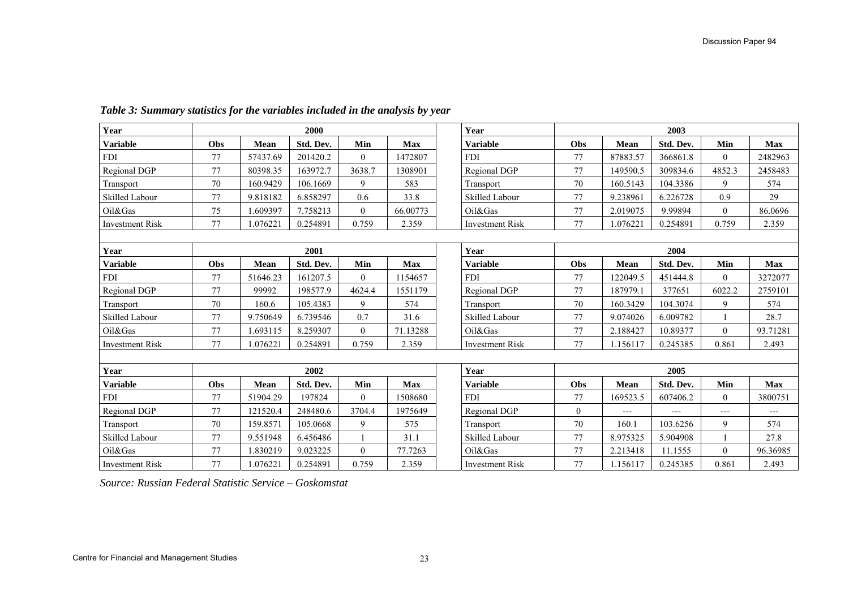| Year                   |     |          | 2000      |                |            | Year                   |                |          | 2003      |          |            |
|------------------------|-----|----------|-----------|----------------|------------|------------------------|----------------|----------|-----------|----------|------------|
| <b>Variable</b>        | Obs | Mean     | Std. Dev. | Min            | <b>Max</b> | <b>Variable</b>        | Obs            | Mean     | Std. Dev. | Min      | <b>Max</b> |
| <b>FDI</b>             | 77  | 57437.69 | 201420.2  | $\overline{0}$ | 1472807    | <b>FDI</b>             | 77             | 87883.57 | 366861.8  | $\theta$ | 2482963    |
| Regional DGP           | 77  | 80398.35 | 163972.7  | 3638.7         | 1308901    | Regional DGP           | 77             | 149590.5 | 309834.6  | 4852.3   | 2458483    |
| Transport              | 70  | 160.9429 | 106.1669  | 9              | 583        | Transport              | 70             | 160.5143 | 104.3386  | 9        | 574        |
| <b>Skilled Labour</b>  | 77  | 9.818182 | 6.858297  | 0.6            | 33.8       | Skilled Labour         | 77             | 9.238961 | 6.226728  | 0.9      | 29         |
| Oil&Gas                | 75  | 1.609397 | 7.758213  | $\overline{0}$ | 66.00773   | Oil&Gas                | 77             | 2.019075 | 9.99894   | $\theta$ | 86.0696    |
| <b>Investment Risk</b> | 77  | 1.076221 | 0.254891  | 0.759          | 2.359      | <b>Investment Risk</b> | 77             | 1.076221 | 0.254891  | 0.759    | 2.359      |
|                        |     |          |           |                |            |                        |                |          |           |          |            |
| Year                   |     |          | 2001      |                |            | Year                   |                |          | 2004      |          |            |
| <b>Variable</b>        | Obs | Mean     | Std. Dev. | Min            | <b>Max</b> | <b>Variable</b>        | Obs            | Mean     | Std. Dev. | Min      | <b>Max</b> |
| <b>FDI</b>             | 77  | 51646.23 | 161207.5  | $\overline{0}$ | 1154657    | <b>FDI</b>             | 77             | 122049.5 | 451444.8  | $\theta$ | 3272077    |
| Regional DGP           | 77  | 99992    | 198577.9  | 4624.4         | 1551179    | Regional DGP           | 77             | 187979.1 | 377651    | 6022.2   | 2759101    |
| Transport              | 70  | 160.6    | 105.4383  | 9              | 574        | Transport              | 70             | 160.3429 | 104.3074  | 9        | 574        |
| <b>Skilled Labour</b>  | 77  | 9.750649 | 6.739546  | 0.7            | 31.6       | Skilled Labour         | 77             | 9.074026 | 6.009782  |          | 28.7       |
| Oil&Gas                | 77  | 1.693115 | 8.259307  | $\overline{0}$ | 71.13288   | Oil&Gas                | 77             | 2.188427 | 10.89377  | $\theta$ | 93.71281   |
| <b>Investment Risk</b> | 77  | 1.076221 | 0.254891  | 0.759          | 2.359      | <b>Investment Risk</b> | 77             | 1.156117 | 0.245385  | 0.861    | 2.493      |
|                        |     |          |           |                |            |                        |                |          |           |          |            |
| Year                   |     |          | 2002      |                |            | Year                   |                |          | 2005      |          |            |
| <b>Variable</b>        | Obs | Mean     | Std. Dev. | Min            | <b>Max</b> | <b>Variable</b>        | Obs            | Mean     | Std. Dev. | Min      | <b>Max</b> |
| <b>FDI</b>             | 77  | 51904.29 | 197824    | $\overline{0}$ | 1508680    | <b>FDI</b>             | 77             | 169523.5 | 607406.2  | $\theta$ | 3800751    |
| Regional DGP           | 77  | 121520.4 | 248480.6  | 3704.4         | 1975649    | Regional DGP           | $\overline{0}$ | ---      | ---       | $---$    | $---$      |
| Transport              | 70  | 159.8571 | 105.0668  | 9              | 575        | Transport              | 70             | 160.1    | 103.6256  | 9        | 574        |
| Skilled Labour         | 77  | 9.551948 | 6.456486  |                | 31.1       | Skilled Labour         | 77             | 8.975325 | 5.904908  |          | 27.8       |
| Oil&Gas                | 77  | 1.830219 | 9.023225  | $\overline{0}$ | 77.7263    | Oil&Gas                | 77             | 2.213418 | 11.1555   | $\theta$ | 96.36985   |
| <b>Investment Risk</b> | 77  | 1.076221 | 0.254891  | 0.759          | 2.359      | <b>Investment Risk</b> | 77             | 1.156117 | 0.245385  | 0.861    | 2.493      |

*Table 3: Summary statistics for the variables included in the analysis by year*

*Source: Russian Federal Statistic Service – Goskomstat*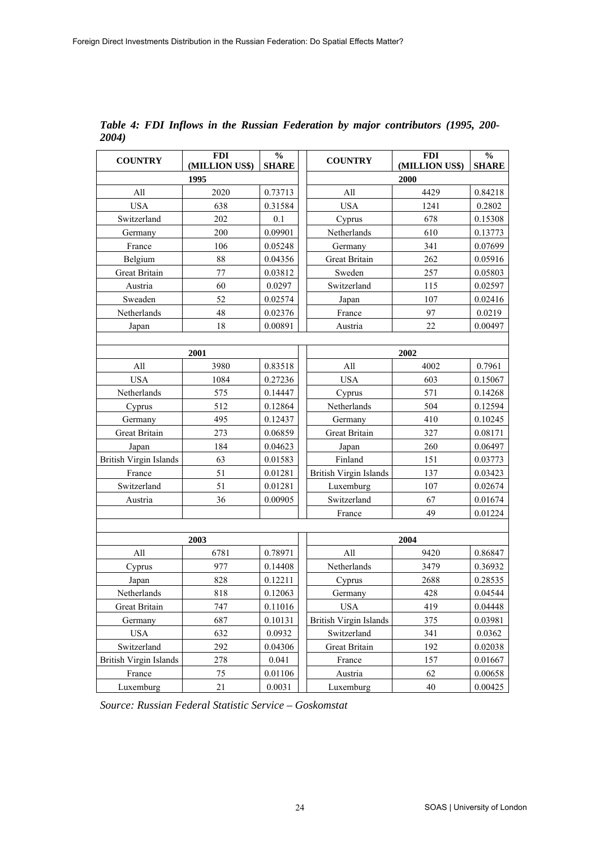| <b>COUNTRY</b>                | <b>FDI</b><br>(MILLION US\$) | $\frac{0}{0}$<br><b>SHARE</b> | <b>COUNTRY</b>                | <b>FDI</b><br>(MILLION US\$) | $\frac{0}{0}$<br><b>SHARE</b> |  |  |
|-------------------------------|------------------------------|-------------------------------|-------------------------------|------------------------------|-------------------------------|--|--|
|                               | 1995                         |                               | 2000                          |                              |                               |  |  |
| All                           | 2020                         | 0.73713                       | All                           | 4429                         | 0.84218                       |  |  |
| <b>USA</b>                    | 638                          | 0.31584                       | <b>USA</b>                    | 1241                         | 0.2802                        |  |  |
| Switzerland                   | 202                          | 0.1                           | Cyprus                        | 678                          | 0.15308                       |  |  |
| Germany                       | 200                          | 0.09901                       | Netherlands                   | 610                          | 0.13773                       |  |  |
| France                        | 106                          | 0.05248                       | Germany                       | 341                          | 0.07699                       |  |  |
| Belgium                       | 88                           | 0.04356                       | <b>Great Britain</b>          | 262                          | 0.05916                       |  |  |
| <b>Great Britain</b>          | 77                           | 0.03812                       | Sweden                        | 257                          | 0.05803                       |  |  |
| Austria                       | 60                           | 0.0297                        | Switzerland                   | 115                          | 0.02597                       |  |  |
| Sweaden                       | 52                           | 0.02574                       | Japan                         | 107                          | 0.02416                       |  |  |
| Netherlands                   | 48                           | 0.02376                       | France                        | 97                           | 0.0219                        |  |  |
| Japan                         | 18                           | 0.00891                       | Austria                       | 22                           | 0.00497                       |  |  |
|                               |                              |                               |                               |                              |                               |  |  |
|                               | 2001                         |                               |                               | 2002                         |                               |  |  |
| All                           | 3980                         | 0.83518                       | All                           | 4002                         | 0.7961                        |  |  |
| <b>USA</b>                    | 1084                         | 0.27236                       | <b>USA</b>                    | 603                          | 0.15067                       |  |  |
| Netherlands                   | 575                          | 0.14447                       | Cyprus                        | 571                          | 0.14268                       |  |  |
| Cyprus                        | 512                          | 0.12864                       | Netherlands                   | 504                          | 0.12594                       |  |  |
| Germany                       | 495                          | 0.12437                       | Germany                       | 410                          | 0.10245                       |  |  |
| Great Britain                 | 273                          | 0.06859                       | <b>Great Britain</b>          | 327                          | 0.08171                       |  |  |
| Japan                         | 184                          | 0.04623                       | Japan                         | 260                          | 0.06497                       |  |  |
| <b>British Virgin Islands</b> | 63                           | 0.01583                       | Finland                       | 151                          | 0.03773                       |  |  |
| France                        | 51                           | 0.01281                       | British Virgin Islands        | 137                          | 0.03423                       |  |  |
| Switzerland                   | 51                           | 0.01281                       | Luxemburg                     | 107                          | 0.02674                       |  |  |
| Austria                       | 36                           | 0.00905                       | Switzerland                   | 67                           | 0.01674                       |  |  |
|                               |                              |                               | France                        | 49                           | 0.01224                       |  |  |
|                               |                              |                               |                               |                              |                               |  |  |
|                               | 2003                         |                               |                               | 2004                         |                               |  |  |
| All                           | 6781                         | 0.78971                       | All                           | 9420                         | 0.86847                       |  |  |
| Cyprus                        | 977                          | 0.14408                       | Netherlands                   | 3479                         | 0.36932                       |  |  |
| Japan                         | 828                          | 0.12211                       | Cyprus                        | 2688                         | 0.28535                       |  |  |
| Netherlands                   | 818                          | 0.12063                       | Germany                       | 428                          | 0.04544                       |  |  |
| Great Britain                 | 747                          | 0.11016                       | <b>USA</b>                    | 419                          | 0.04448                       |  |  |
| Germany                       | 687                          | 0.10131                       | <b>British Virgin Islands</b> | 375                          | 0.03981                       |  |  |
| <b>USA</b>                    | 632                          | 0.0932                        | Switzerland                   | 341                          | 0.0362                        |  |  |
| Switzerland                   | 292                          | 0.04306                       | Great Britain                 | 192                          | 0.02038                       |  |  |
| British Virgin Islands        | 278                          | 0.041                         | France                        | 157                          | 0.01667                       |  |  |
| France                        | 75                           | 0.01106                       | Austria                       | 62                           | 0.00658                       |  |  |
| Luxemburg                     | $21\,$                       | 0.0031                        | Luxemburg                     | 40                           | 0.00425                       |  |  |

*Table 4: FDI Inflows in the Russian Federation by major contributors (1995, 200- 2004)* 

*Source: Russian Federal Statistic Service – Goskomstat*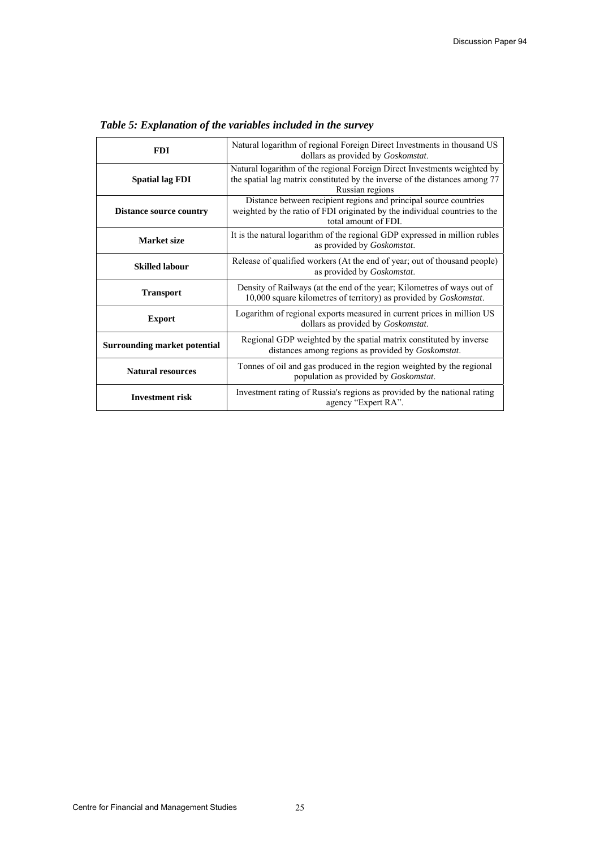| <b>FDI</b>                          | Natural logarithm of regional Foreign Direct Investments in thousand US<br>dollars as provided by Goskomstat.                                                              |  |  |  |  |
|-------------------------------------|----------------------------------------------------------------------------------------------------------------------------------------------------------------------------|--|--|--|--|
| <b>Spatial lag FDI</b>              | Natural logarithm of the regional Foreign Direct Investments weighted by<br>the spatial lag matrix constituted by the inverse of the distances among 77<br>Russian regions |  |  |  |  |
| <b>Distance source country</b>      | Distance between recipient regions and principal source countries<br>weighted by the ratio of FDI originated by the individual countries to the<br>total amount of FDI.    |  |  |  |  |
| <b>Market</b> size                  | It is the natural logarithm of the regional GDP expressed in million rubles<br>as provided by Goskomstat.                                                                  |  |  |  |  |
| <b>Skilled labour</b>               | Release of qualified workers (At the end of year; out of thousand people)<br>as provided by Goskomstat.                                                                    |  |  |  |  |
| <b>Transport</b>                    | Density of Railways (at the end of the year; Kilometres of ways out of<br>10,000 square kilometres of territory) as provided by <i>Goskomstat</i> .                        |  |  |  |  |
| <b>Export</b>                       | Logarithm of regional exports measured in current prices in million US<br>dollars as provided by Goskomstat.                                                               |  |  |  |  |
| <b>Surrounding market potential</b> | Regional GDP weighted by the spatial matrix constituted by inverse<br>distances among regions as provided by Goskomstat.                                                   |  |  |  |  |
| <b>Natural resources</b>            | Tonnes of oil and gas produced in the region weighted by the regional<br>population as provided by Goskomstat.                                                             |  |  |  |  |
| <b>Investment risk</b>              | Investment rating of Russia's regions as provided by the national rating<br>agency "Expert RA".                                                                            |  |  |  |  |

*Table 5: Explanation of the variables included in the survey*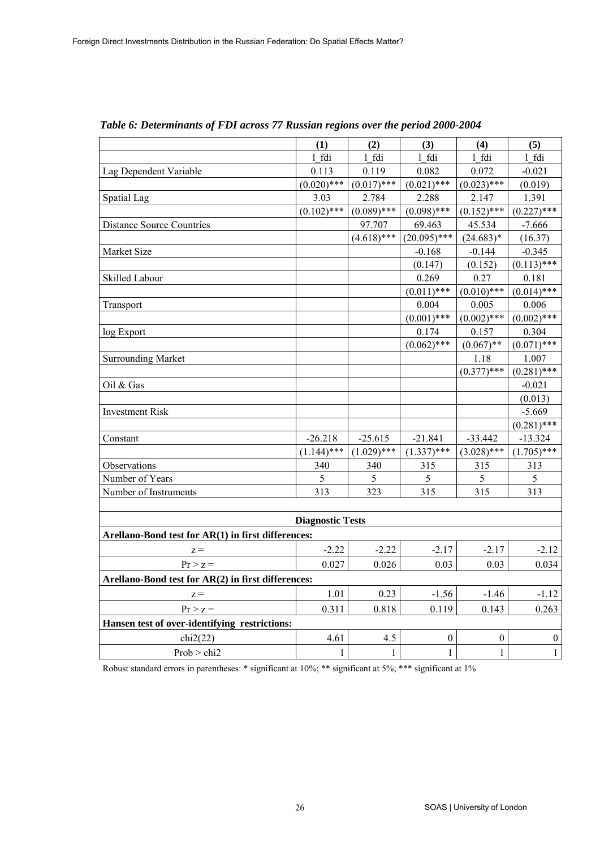|                                                    | (1)                     | (2)           | (3)              | (4)              | (5)              |
|----------------------------------------------------|-------------------------|---------------|------------------|------------------|------------------|
|                                                    | 1 fdi                   | $1$ fdi       | 1 fdi            | 1 fdi            | 1 fdi            |
| Lag Dependent Variable                             | 0.113                   | 0.119         | 0.082            | 0.072            | $-0.021$         |
|                                                    | $(0.020)$ ***           | $(0.017)$ *** | $(0.021)$ ***    | $(0.023)$ ***    | (0.019)          |
| Spatial Lag                                        | 3.03                    | 2.784         | 2.288            | 2.147            | 1.391            |
|                                                    | $(0.102)$ ***           | $(0.089)$ *** | $(0.098)$ ***    | $(0.152)$ ***    | $(0.227)$ ***    |
| <b>Distance Source Countries</b>                   |                         | 97.707        | 69.463           | 45.534           | $-7.666$         |
|                                                    |                         | $(4.618)$ *** | $(20.095)$ ***   | $(24.683)*$      | (16.37)          |
| Market Size                                        |                         |               | $-0.168$         | $-0.144$         | $-0.345$         |
|                                                    |                         |               | (0.147)          | (0.152)          | $(0.113)$ ***    |
| Skilled Labour                                     |                         |               | 0.269            | 0.27             | 0.181            |
|                                                    |                         |               | $(0.011)$ ***    | $(0.010)$ ***    | $(0.014)$ ***    |
| Transport                                          |                         |               | 0.004            | 0.005            | 0.006            |
|                                                    |                         |               | $(0.001)$ ***    | $(0.002)$ ***    | $(0.002)$ ***    |
| log Export                                         |                         |               | 0.174            | 0.157            | 0.304            |
|                                                    |                         |               | $(0.062)$ ***    | $(0.067)$ **     | $(0.071)$ ***    |
| <b>Surrounding Market</b>                          |                         |               |                  | 1.18             | 1.007            |
|                                                    |                         |               |                  | $(0.377)$ ***    | $(0.281)$ ***    |
| Oil & Gas                                          |                         |               |                  |                  | $-0.021$         |
|                                                    |                         |               |                  |                  | (0.013)          |
| <b>Investment Risk</b>                             |                         |               |                  |                  | $-5.669$         |
|                                                    |                         |               |                  |                  | $(0.281)$ ***    |
| Constant                                           | $-26.218$               | $-25.615$     | $-21.841$        | $-33.442$        | $-13.324$        |
|                                                    | $(1.144)$ ***           | $(1.029)$ *** | $(1.337)$ ***    | $(3.028)$ ***    | $(1.705)$ ***    |
| Observations                                       | 340                     | 340           | 315              | 315              | 313              |
| Number of Years                                    | 5                       | 5             | 5                | 5                | 5                |
| Number of Instruments                              | 313                     | 323           | 315              | 315              | 313              |
|                                                    |                         |               |                  |                  |                  |
|                                                    | <b>Diagnostic Tests</b> |               |                  |                  |                  |
| Arellano-Bond test for AR(1) in first differences: |                         |               |                  |                  |                  |
| $z =$                                              | $-2.22$                 | $-2.22$       | $-2.17$          | $-2.17$          | $-2.12$          |
| $Pr > z =$                                         | 0.027                   | 0.026         | 0.03             | 0.03             | 0.034            |
| Arellano-Bond test for AR(2) in first differences: |                         |               |                  |                  |                  |
| $z =$                                              | 1.01                    | 0.23          | $-1.56$          | $-1.46$          | $-1.12$          |
| $Pr > z =$                                         | 0.311                   | 0.818         | 0.119            | 0.143            | 0.263            |
|                                                    |                         |               |                  |                  |                  |
| Hansen test of over-identifying restrictions:      |                         |               |                  |                  |                  |
| chi2(22)                                           | 4.61                    | 4.5           | $\boldsymbol{0}$ | $\boldsymbol{0}$ | $\boldsymbol{0}$ |
| Prob > chi2                                        | $\mathbf{1}$            | $\mathbf{1}$  | $\mathbf{1}$     | $\mathbf{1}$     | $\mathbf{1}$     |

*Table 6: Determinants of FDI across 77 Russian regions over the period 2000-2004* 

Robust standard errors in parentheses: \* significant at 10%; \*\* significant at 5%; \*\*\* significant at 1%